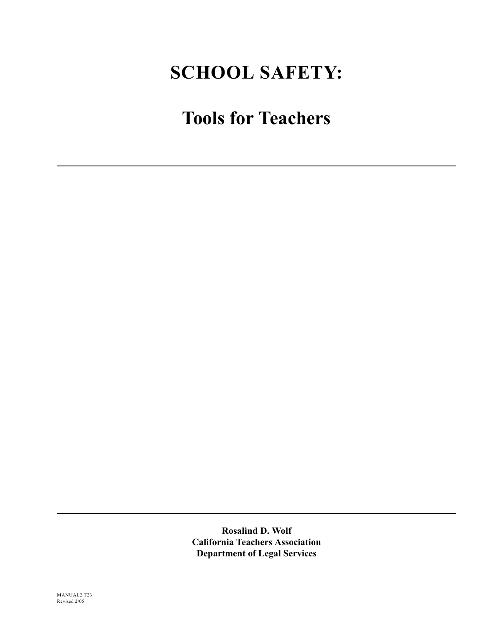# **SCHOOL SAFETY:**

# **Tools for Teachers**

**Rosalind D. Wolf California Teachers Association Department of Legal Services**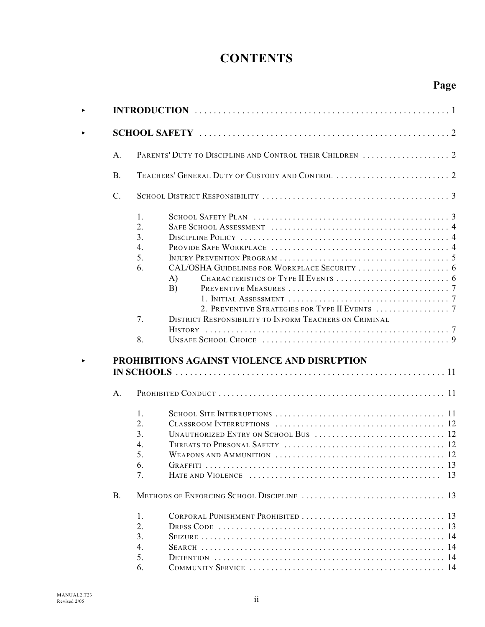# **CONTENTS**

| A.        |                                                                                                                                  |  |  |  |
|-----------|----------------------------------------------------------------------------------------------------------------------------------|--|--|--|
| <b>B.</b> |                                                                                                                                  |  |  |  |
| $C$ .     |                                                                                                                                  |  |  |  |
|           | 1.<br>2.<br>3.<br>$\overline{4}$ .<br>5.<br>6.<br>A)<br>B)<br>DISTRICT RESPONSIBILITY TO INFORM TEACHERS ON CRIMINAL<br>7.<br>8. |  |  |  |
|           | PROHIBITIONS AGAINST VIOLENCE AND DISRUPTION                                                                                     |  |  |  |
| A.        |                                                                                                                                  |  |  |  |
|           | 1.<br>2.<br>3.<br>$\overline{4}$ .<br>5.<br>6.<br>7.                                                                             |  |  |  |
| <b>B.</b> |                                                                                                                                  |  |  |  |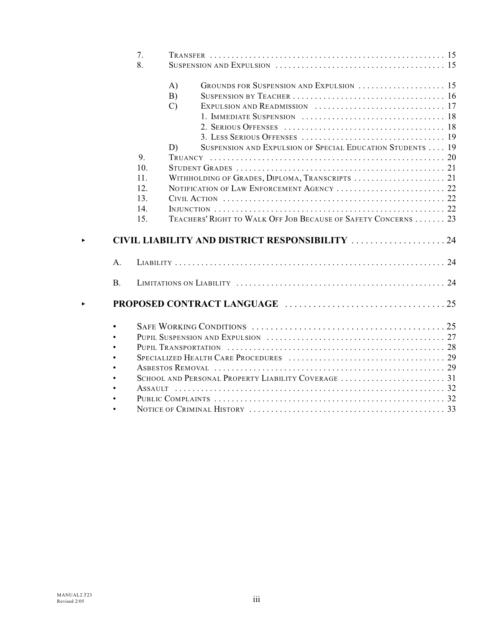|                | 7.<br>8. |                                                                       |
|----------------|----------|-----------------------------------------------------------------------|
|                |          | GROUNDS FOR SUSPENSION AND EXPULSION  15<br>A)<br>B)<br>$\mathcal{C}$ |
|                |          |                                                                       |
|                |          | SUSPENSION AND EXPULSION OF SPECIAL EDUCATION STUDENTS 19<br>D)       |
|                | 9.       |                                                                       |
|                | 10.      |                                                                       |
|                | 11.      | WITHHOLDING OF GRADES, DIPLOMA, TRANSCRIPTS  21                       |
|                | 12.      |                                                                       |
|                | 13.      |                                                                       |
|                | 14.      |                                                                       |
|                | 15.      | TEACHERS' RIGHT TO WALK OFF JOB BECAUSE OF SAFETY CONCERNS 23         |
|                |          | CIVIL LIABILITY AND DISTRICT RESPONSIBILITY  24                       |
| A <sub>1</sub> |          |                                                                       |
| <b>B.</b>      |          |                                                                       |
|                |          |                                                                       |
|                |          |                                                                       |
|                |          |                                                                       |
|                |          |                                                                       |
|                |          |                                                                       |
|                |          |                                                                       |
|                |          |                                                                       |
|                |          |                                                                       |
|                |          |                                                                       |
|                |          |                                                                       |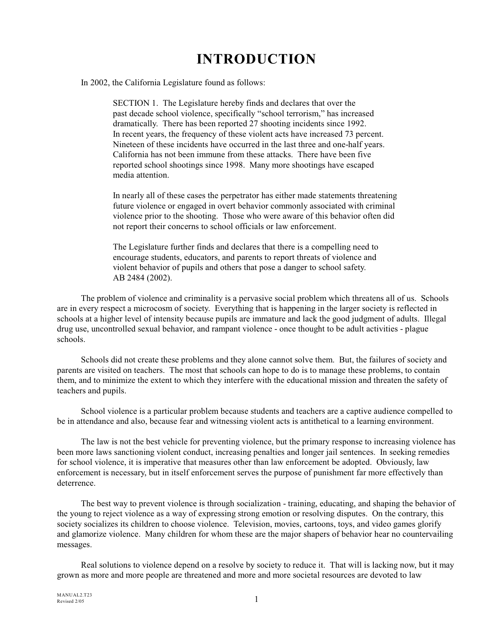# **INTRODUCTION**

In 2002, the California Legislature found as follows:

SECTION 1. The Legislature hereby finds and declares that over the past decade school violence, specifically "school terrorism," has increased dramatically. There has been reported 27 shooting incidents since 1992. In recent years, the frequency of these violent acts have increased 73 percent. Nineteen of these incidents have occurred in the last three and one-half years. California has not been immune from these attacks. There have been five reported school shootings since 1998. Many more shootings have escaped media attention.

In nearly all of these cases the perpetrator has either made statements threatening future violence or engaged in overt behavior commonly associated with criminal violence prior to the shooting. Those who were aware of this behavior often did not report their concerns to school officials or law enforcement.

The Legislature further finds and declares that there is a compelling need to encourage students, educators, and parents to report threats of violence and violent behavior of pupils and others that pose a danger to school safety. AB 2484 (2002).

The problem of violence and criminality is a pervasive social problem which threatens all of us. Schools are in every respect a microcosm of society. Everything that is happening in the larger society is reflected in schools at a higher level of intensity because pupils are immature and lack the good judgment of adults. Illegal drug use, uncontrolled sexual behavior, and rampant violence - once thought to be adult activities - plague schools.

Schools did not create these problems and they alone cannot solve them. But, the failures of society and parents are visited on teachers. The most that schools can hope to do is to manage these problems, to contain them, and to minimize the extent to which they interfere with the educational mission and threaten the safety of teachers and pupils.

School violence is a particular problem because students and teachers are a captive audience compelled to be in attendance and also, because fear and witnessing violent acts is antithetical to a learning environment.

The law is not the best vehicle for preventing violence, but the primary response to increasing violence has been more laws sanctioning violent conduct, increasing penalties and longer jail sentences. In seeking remedies for school violence, it is imperative that measures other than law enforcement be adopted. Obviously, law enforcement is necessary, but in itself enforcement serves the purpose of punishment far more effectively than deterrence.

The best way to prevent violence is through socialization - training, educating, and shaping the behavior of the young to reject violence as a way of expressing strong emotion or resolving disputes. On the contrary, this society socializes its children to choose violence. Television, movies, cartoons, toys, and video games glorify and glamorize violence. Many children for whom these are the major shapers of behavior hear no countervailing messages.

Real solutions to violence depend on a resolve by society to reduce it. That will is lacking now, but it may grown as more and more people are threatened and more and more societal resources are devoted to law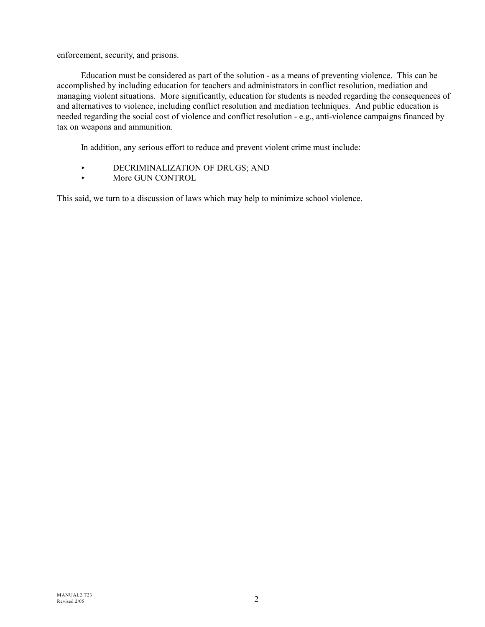enforcement, security, and prisons.

Education must be considered as part of the solution - as a means of preventing violence. This can be accomplished by including education for teachers and administrators in conflict resolution, mediation and managing violent situations. More significantly, education for students is needed regarding the consequences of and alternatives to violence, including conflict resolution and mediation techniques. And public education is needed regarding the social cost of violence and conflict resolution - e.g., anti-violence campaigns financed by tax on weapons and ammunition.

In addition, any serious effort to reduce and prevent violent crime must include:

- DECRIMINALIZATION OF DRUGS; AND
- $\blacktriangleright$  More GUN CONTROL

This said, we turn to a discussion of laws which may help to minimize school violence.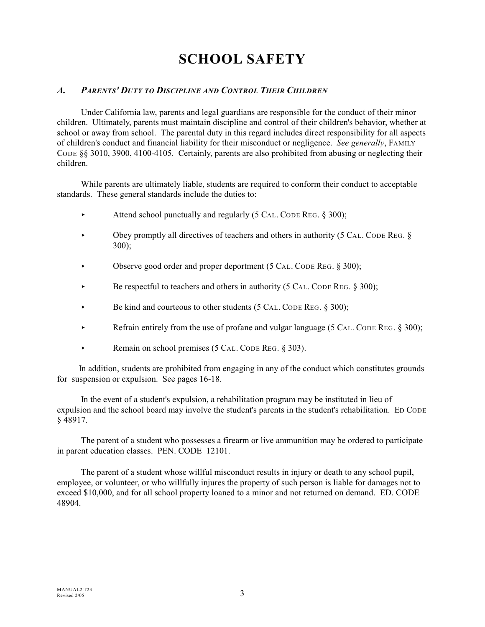# **SCHOOL SAFETY**

#### *A. PARENTS' DUTY TO DISCIPLINE AND CONTROL THEIR CHILDREN*

Under California law, parents and legal guardians are responsible for the conduct of their minor children. Ultimately, parents must maintain discipline and control of their children's behavior, whether at school or away from school. The parental duty in this regard includes direct responsibility for all aspects of children's conduct and financial liability for their misconduct or negligence. *See generally*, FAMILY CODE §§ 3010, 3900, 4100-4105. Certainly, parents are also prohibited from abusing or neglecting their children.

While parents are ultimately liable, students are required to conform their conduct to acceptable standards. These general standards include the duties to:

- Attend school punctually and regularly  $(5 \text{ Cal.} \text{CODE} \text{Reg.} \S 300);$
- $\triangleright$  Obey promptly all directives of teachers and others in authority (5 CAL. CODE REG. § 300);
- $\triangleright$  Observe good order and proper deportment (5 CAL. CODE REG. § 300);
- Be respectful to teachers and others in authority (5 CAL. CODE REG.  $\S$  300);
- $\blacktriangleright$  Be kind and courteous to other students (5 CAL. CODE REG. § 300);
- Refrain entirely from the use of profane and vulgar language  $(5 \text{ Cal.} \text{CODE} \text{Reg.} \S 300)$ ;
- Remain on school premises (5 CAL. CODE REG.  $\S$  303).

 In addition, students are prohibited from engaging in any of the conduct which constitutes grounds for suspension or expulsion. See pages 16-18.

In the event of a student's expulsion, a rehabilitation program may be instituted in lieu of expulsion and the school board may involve the student's parents in the student's rehabilitation. ED CODE § 48917.

The parent of a student who possesses a firearm or live ammunition may be ordered to participate in parent education classes. PEN. CODE 12101.

The parent of a student whose willful misconduct results in injury or death to any school pupil, employee, or volunteer, or who willfully injures the property of such person is liable for damages not to exceed \$10,000, and for all school property loaned to a minor and not returned on demand. ED. CODE 48904.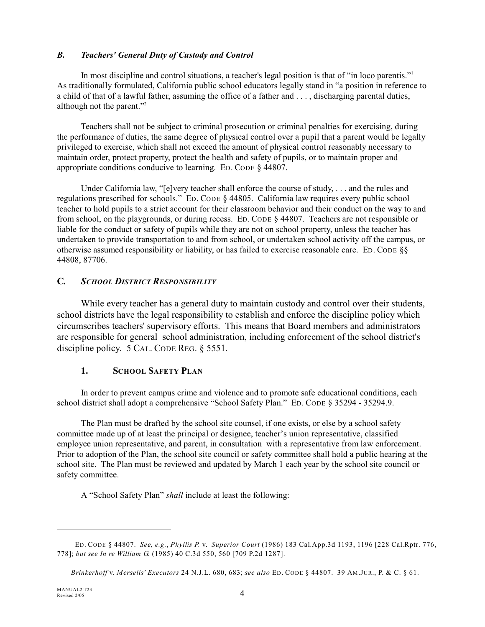#### *B. Teachers' General Duty of Custody and Control*

In most discipline and control situations, a teacher's legal position is that of "in loco parentis." 1 As traditionally formulated, California public school educators legally stand in "a position in reference to a child of that of a lawful father, assuming the office of a father and . . . , discharging parental duties, although not the parent." $\frac{1}{2}$ 

Teachers shall not be subject to criminal prosecution or criminal penalties for exercising, during the performance of duties, the same degree of physical control over a pupil that a parent would be legally privileged to exercise, which shall not exceed the amount of physical control reasonably necessary to maintain order, protect property, protect the health and safety of pupils, or to maintain proper and appropriate conditions conducive to learning. ED. CODE § 44807.

Under California law, "[e]very teacher shall enforce the course of study, . . . and the rules and regulations prescribed for schools." ED. CODE § 44805. California law requires every public school teacher to hold pupils to a strict account for their classroom behavior and their conduct on the way to and from school, on the playgrounds, or during recess. ED. CODE § 44807. Teachers are not responsible or liable for the conduct or safety of pupils while they are not on school property, unless the teacher has undertaken to provide transportation to and from school, or undertaken school activity off the campus, or otherwise assumed responsibility or liability, or has failed to exercise reasonable care. ED. CODE §§ 44808, 87706.

## **C***. SCHOOL DISTRICT RESPONSIBILITY*

While every teacher has a general duty to maintain custody and control over their students, school districts have the legal responsibility to establish and enforce the discipline policy which circumscribes teachers' supervisory efforts. This means that Board members and administrators are responsible for general school administration, including enforcement of the school district's discipline policy. 5 CAL. CODE REG. § 5551.

#### **1. SCHOOL SAFETY PLAN**

In order to prevent campus crime and violence and to promote safe educational conditions, each school district shall adopt a comprehensive "School Safety Plan." ED. CODE § 35294 - 35294.9.

The Plan must be drafted by the school site counsel, if one exists, or else by a school safety committee made up of at least the principal or designee, teacher's union representative, classified employee union representative, and parent, in consultation with a representative from law enforcement. Prior to adoption of the Plan, the school site council or safety committee shall hold a public hearing at the school site. The Plan must be reviewed and updated by March 1 each year by the school site council or safety committee.

A "School Safety Plan" *shall* include at least the following:

ED. CODE § 44807. *See, e.g.*, *Phyllis P.* v. *Superior Court* (1986) 183 Cal.App.3d 1193, 1196 [228 Cal.Rptr. 776, 778]; *but see In re William G.* (1985) 40 C.3d 550, 560 [709 P.2d 1287].

*Brinkerhoff* v. *Merselis' Executors* 24 N.J.L. 680, 683; *see also* ED. CODE § 44807. 39 AM.JUR., P. & C. § 61.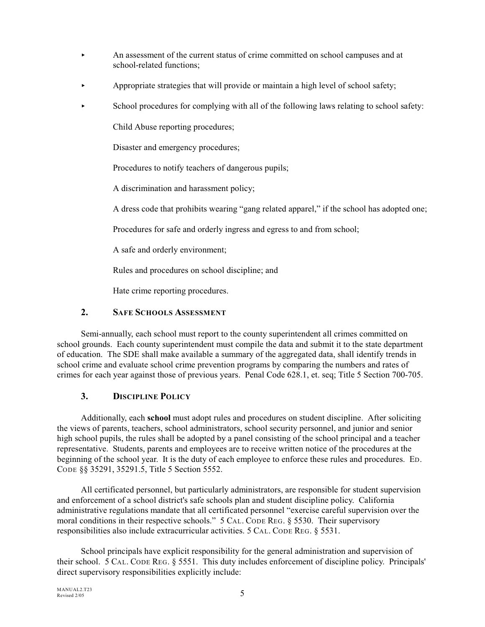- An assessment of the current status of crime committed on school campuses and at school-related functions;
- < Appropriate strategies that will provide or maintain a high level of school safety;
- School procedures for complying with all of the following laws relating to school safety:

Child Abuse reporting procedures;

Disaster and emergency procedures;

Procedures to notify teachers of dangerous pupils;

A discrimination and harassment policy;

A dress code that prohibits wearing "gang related apparel," if the school has adopted one;

Procedures for safe and orderly ingress and egress to and from school;

A safe and orderly environment;

Rules and procedures on school discipline; and

Hate crime reporting procedures.

## **2. SAFE SCHOOLS ASSESSMENT**

Semi-annually, each school must report to the county superintendent all crimes committed on school grounds. Each county superintendent must compile the data and submit it to the state department of education. The SDE shall make available a summary of the aggregated data, shall identify trends in school crime and evaluate school crime prevention programs by comparing the numbers and rates of crimes for each year against those of previous years. Penal Code 628.1, et. seq; Title 5 Section 700-705.

# **3. DISCIPLINE POLICY**

Additionally, each **school** must adopt rules and procedures on student discipline. After soliciting the views of parents, teachers, school administrators, school security personnel, and junior and senior high school pupils, the rules shall be adopted by a panel consisting of the school principal and a teacher representative. Students, parents and employees are to receive written notice of the procedures at the beginning of the school year. It is the duty of each employee to enforce these rules and procedures. ED. CODE §§ 35291, 35291.5, Title 5 Section 5552.

All certificated personnel, but particularly administrators, are responsible for student supervision and enforcement of a school district's safe schools plan and student discipline policy. California administrative regulations mandate that all certificated personnel "exercise careful supervision over the moral conditions in their respective schools." 5 CAL. CODE REG. § 5530. Their supervisory responsibilities also include extracurricular activities. 5 CAL. CODE REG. § 5531.

School principals have explicit responsibility for the general administration and supervision of their school. 5 CAL. CODE REG. § 5551. This duty includes enforcement of discipline policy. Principals' direct supervisory responsibilities explicitly include: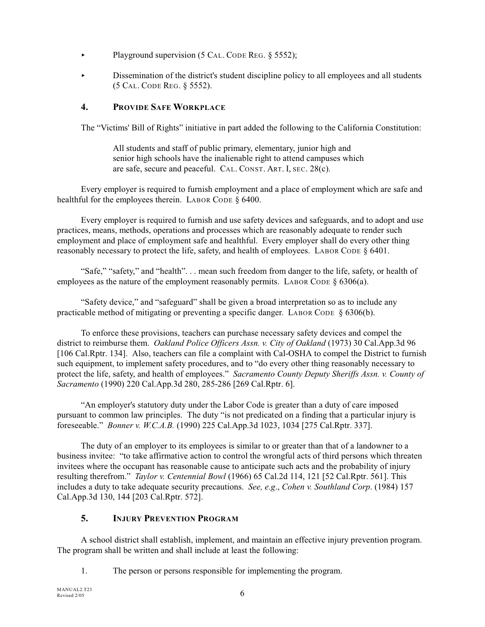- Playground supervision  $(5 \text{ Cal.} \text{CODE} \text{Reg.} \S 5552);$
- < Dissemination of the district's student discipline policy to all employees and all students (5 CAL. CODE REG. § 5552).

# **4. PROVIDE SAFE WORKPLACE**

The "Victims' Bill of Rights" initiative in part added the following to the California Constitution:

All students and staff of public primary, elementary, junior high and senior high schools have the inalienable right to attend campuses which are safe, secure and peaceful. CAL. CONST. ART. I, SEC. 28(c).

Every employer is required to furnish employment and a place of employment which are safe and healthful for the employees therein. LABOR CODE § 6400.

Every employer is required to furnish and use safety devices and safeguards, and to adopt and use practices, means, methods, operations and processes which are reasonably adequate to render such employment and place of employment safe and healthful. Every employer shall do every other thing reasonably necessary to protect the life, safety, and health of employees. LABOR CODE  $\S$  6401.

"Safe," "safety," and "health". . . mean such freedom from danger to the life, safety, or health of employees as the nature of the employment reasonably permits. LABOR CODE  $\S$  6306(a).

"Safety device," and "safeguard" shall be given a broad interpretation so as to include any practicable method of mitigating or preventing a specific danger. LABOR CODE  $\S$  6306(b).

To enforce these provisions, teachers can purchase necessary safety devices and compel the district to reimburse them. *Oakland Police Officers Assn. v. City of Oakland* (1973) 30 Cal.App.3d 96 [106 Cal.Rptr. 134]. Also, teachers can file a complaint with Cal-OSHA to compel the District to furnish such equipment, to implement safety procedures, and to "do every other thing reasonably necessary to protect the life, safety, and health of employees." *Sacramento County Deputy Sheriffs Assn. v. County of Sacramento* (1990) 220 Cal.App.3d 280, 285-286 [269 Cal.Rptr. 6].

"An employer's statutory duty under the Labor Code is greater than a duty of care imposed pursuant to common law principles. The duty "is not predicated on a finding that a particular injury is foreseeable." *Bonner v. W.C.A.B.* (1990) 225 Cal.App.3d 1023, 1034 [275 Cal.Rptr. 337].

The duty of an employer to its employees is similar to or greater than that of a landowner to a business invitee: "to take affirmative action to control the wrongful acts of third persons which threaten invitees where the occupant has reasonable cause to anticipate such acts and the probability of injury resulting therefrom." *Taylor v. Centennial Bowl* (1966) 65 Cal.2d 114, 121 [52 Cal.Rptr. 561]. This includes a duty to take adequate security precautions. *See, e.g*., *Cohen v. Southland Corp*. (1984) 157 Cal.App.3d 130, 144 [203 Cal.Rptr. 572].

# **5. INJURY PREVENTION PROGRAM**

A school district shall establish, implement, and maintain an effective injury prevention program. The program shall be written and shall include at least the following:

1. The person or persons responsible for implementing the program.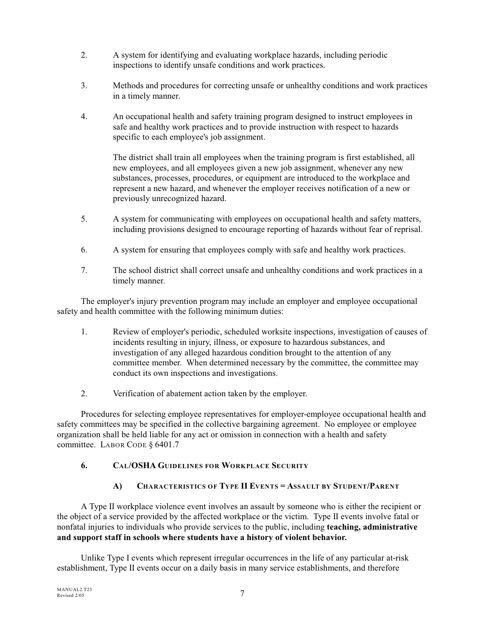- 2. A system for identifying and evaluating workplace hazards, including periodic inspections to identify unsafe conditions and work practices.
- 3. Methods and procedures for correcting unsafe or unhealthy conditions and work practices in a timely manner.
- 4. An occupational health and safety training program designed to instruct employees in safe and healthy work practices and to provide instruction with respect to hazards specific to each employee's job assignment.

The district shall train all employees when the training program is first established, all new employees, and all employees given a new job assignment, whenever any new substances, processes, procedures, or equipment are introduced to the workplace and represent a new hazard, and whenever the employer receives notification of a new or previously unrecognized hazard.

- 5. A system for communicating with employees on occupational health and safety matters, including provisions designed to encourage reporting of hazards without fear of reprisal.
- 6. A system for ensuring that employees comply with safe and healthy work practices.
- 7. The school district shall correct unsafe and unhealthy conditions and work practices in a timely manner.

The employer's injury prevention program may include an employer and employee occupational safety and health committee with the following minimum duties:

- 1. Review of employer's periodic, scheduled worksite inspections, investigation of causes of incidents resulting in injury, illness, or exposure to hazardous substances, and investigation of any alleged hazardous condition brought to the attention of any committee member. When determined necessary by the committee, the committee may conduct its own inspections and investigations.
- 2. Verification of abatement action taken by the employer.

Procedures for selecting employee representatives for employer-employee occupational health and safety committees may be specified in the collective bargaining agreement. No employee or employee organization shall be held liable for any act or omission in connection with a health and safety committee. LABOR CODE § 6401.7

# **6. CAL/OSHA GUIDELINES FOR WORKPLACE SECURITY**

# **A) CHARACTERISTICS OF TYPE II EVENTS = ASSAULT BY STUDENT/PARENT**

A Type II workplace violence event involves an assault by someone who is either the recipient or the object of a service provided by the affected workplace or the victim. Type II events involve fatal or nonfatal injuries to individuals who provide services to the public, including **teaching, administrative and support staff in schools where students have a history of violent behavior.**

Unlike Type I events which represent irregular occurrences in the life of any particular at-risk establishment, Type II events occur on a daily basis in many service establishments, and therefore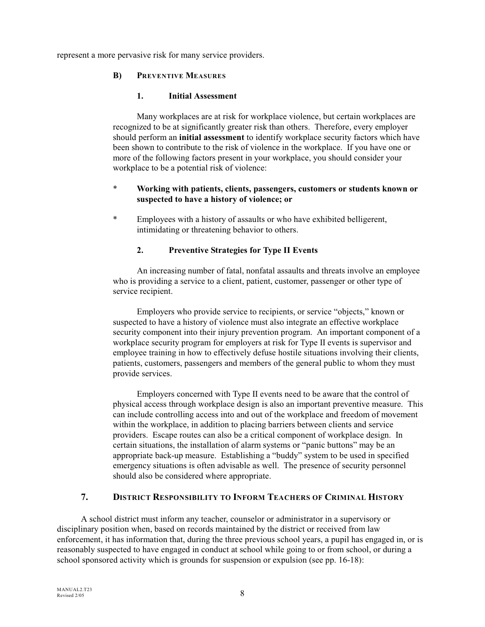represent a more pervasive risk for many service providers.

#### **B) PREVENTIVE MEASURES**

#### **1. Initial Assessment**

Many workplaces are at risk for workplace violence, but certain workplaces are recognized to be at significantly greater risk than others. Therefore, every employer should perform an **initial assessment** to identify workplace security factors which have been shown to contribute to the risk of violence in the workplace. If you have one or more of the following factors present in your workplace, you should consider your workplace to be a potential risk of violence:

#### \* **Working with patients, clients, passengers, customers or students known or suspected to have a history of violence; or**

\* Employees with a history of assaults or who have exhibited belligerent, intimidating or threatening behavior to others.

#### **2. Preventive Strategies for Type II Events**

An increasing number of fatal, nonfatal assaults and threats involve an employee who is providing a service to a client, patient, customer, passenger or other type of service recipient.

Employers who provide service to recipients, or service "objects," known or suspected to have a history of violence must also integrate an effective workplace security component into their injury prevention program. An important component of a workplace security program for employers at risk for Type II events is supervisor and employee training in how to effectively defuse hostile situations involving their clients, patients, customers, passengers and members of the general public to whom they must provide services.

Employers concerned with Type II events need to be aware that the control of physical access through workplace design is also an important preventive measure. This can include controlling access into and out of the workplace and freedom of movement within the workplace, in addition to placing barriers between clients and service providers. Escape routes can also be a critical component of workplace design. In certain situations, the installation of alarm systems or "panic buttons" may be an appropriate back-up measure. Establishing a "buddy" system to be used in specified emergency situations is often advisable as well. The presence of security personnel should also be considered where appropriate.

#### **7. DISTRICT RESPONSIBILITY TO INFORM TEACHERS OF CRIMINAL HISTORY**

A school district must inform any teacher, counselor or administrator in a supervisory or disciplinary position when, based on records maintained by the district or received from law enforcement, it has information that, during the three previous school years, a pupil has engaged in, or is reasonably suspected to have engaged in conduct at school while going to or from school, or during a school sponsored activity which is grounds for suspension or expulsion (see pp. 16-18):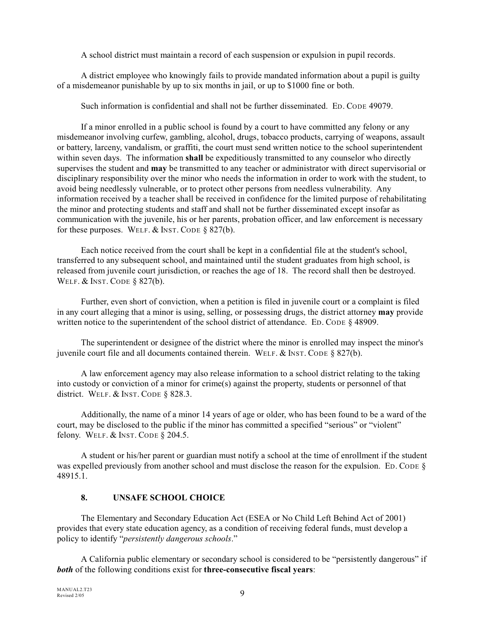A school district must maintain a record of each suspension or expulsion in pupil records.

A district employee who knowingly fails to provide mandated information about a pupil is guilty of a misdemeanor punishable by up to six months in jail, or up to \$1000 fine or both.

Such information is confidential and shall not be further disseminated. ED. CODE 49079.

If a minor enrolled in a public school is found by a court to have committed any felony or any misdemeanor involving curfew, gambling, alcohol, drugs, tobacco products, carrying of weapons, assault or battery, larceny, vandalism, or graffiti, the court must send written notice to the school superintendent within seven days. The information **shall** be expeditiously transmitted to any counselor who directly supervises the student and **may** be transmitted to any teacher or administrator with direct supervisorial or disciplinary responsibility over the minor who needs the information in order to work with the student, to avoid being needlessly vulnerable, or to protect other persons from needless vulnerability. Any information received by a teacher shall be received in confidence for the limited purpose of rehabilitating the minor and protecting students and staff and shall not be further disseminated except insofar as communication with the juvenile, his or her parents, probation officer, and law enforcement is necessary for these purposes. WELF.  $&$  INST. CODE § 827(b).

Each notice received from the court shall be kept in a confidential file at the student's school, transferred to any subsequent school, and maintained until the student graduates from high school, is released from juvenile court jurisdiction, or reaches the age of 18. The record shall then be destroyed. WELF. & INST. CODE § 827(b).

Further, even short of conviction, when a petition is filed in juvenile court or a complaint is filed in any court alleging that a minor is using, selling, or possessing drugs, the district attorney **may** provide written notice to the superintendent of the school district of attendance. ED. CODE § 48909.

The superintendent or designee of the district where the minor is enrolled may inspect the minor's juvenile court file and all documents contained therein. WELF. & INST. CODE § 827(b).

A law enforcement agency may also release information to a school district relating to the taking into custody or conviction of a minor for crime(s) against the property, students or personnel of that district. WELF. & INST. CODE § 828.3.

Additionally, the name of a minor 14 years of age or older, who has been found to be a ward of the court, may be disclosed to the public if the minor has committed a specified "serious" or "violent" felony. WELF. & INST. CODE § 204.5.

A student or his/her parent or guardian must notify a school at the time of enrollment if the student was expelled previously from another school and must disclose the reason for the expulsion. ED. CODE § 48915.1.

#### **8. UNSAFE SCHOOL CHOICE**

The Elementary and Secondary Education Act (ESEA or No Child Left Behind Act of 2001) provides that every state education agency, as a condition of receiving federal funds, must develop a policy to identify "*persistently dangerous schools*."

A California public elementary or secondary school is considered to be "persistently dangerous" if *both* of the following conditions exist for **three-consecutive fiscal years**: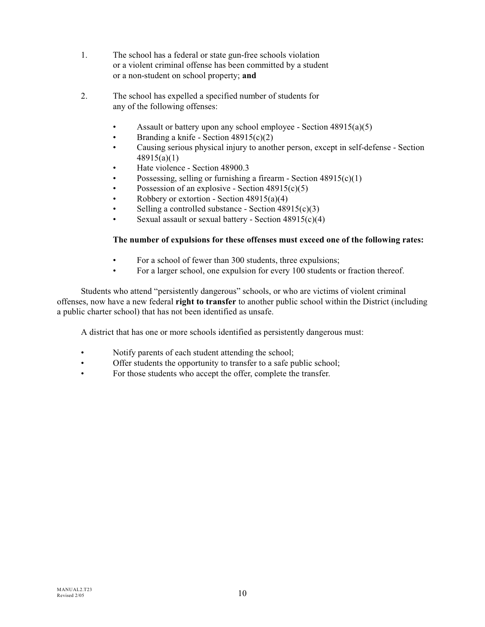- 1. The school has a federal or state gun-free schools violation or a violent criminal offense has been committed by a student or a non-student on school property; **and**
- 2. The school has expelled a specified number of students for any of the following offenses:
	- Assault or battery upon any school employee Section  $48915(a)(5)$
	- Branding a knife Section  $48915(c)(2)$
	- Causing serious physical injury to another person, except in self-defense Section 48915(a)(1)
	- Hate violence Section 48900.3
	- Possessing, selling or furnishing a firearm Section  $48915(c)(1)$
	- Possession of an explosive Section  $48915(c)(5)$
	- Robbery or extortion Section 48915(a)(4)
	- Selling a controlled substance Section  $48915(c)(3)$
	- Sexual assault or sexual battery Section  $48915(c)(4)$

#### **The number of expulsions for these offenses must exceed one of the following rates:**

- For a school of fewer than 300 students, three expulsions;
- For a larger school, one expulsion for every 100 students or fraction thereof.

Students who attend "persistently dangerous" schools, or who are victims of violent criminal offenses, now have a new federal **right to transfer** to another public school within the District (including a public charter school) that has not been identified as unsafe.

A district that has one or more schools identified as persistently dangerous must:

- Notify parents of each student attending the school;
- Offer students the opportunity to transfer to a safe public school;
- For those students who accept the offer, complete the transfer.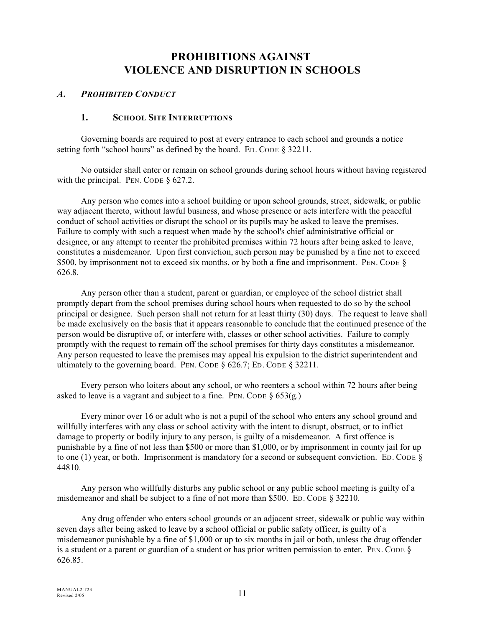# **PROHIBITIONS AGAINST VIOLENCE AND DISRUPTION IN SCHOOLS**

#### *A. PROHIBITED CONDUCT*

#### **1. SCHOOL SITE INTERRUPTIONS**

Governing boards are required to post at every entrance to each school and grounds a notice setting forth "school hours" as defined by the board. ED. CODE § 32211.

No outsider shall enter or remain on school grounds during school hours without having registered with the principal. PEN. CODE  $\S 627.2$ .

Any person who comes into a school building or upon school grounds, street, sidewalk, or public way adjacent thereto, without lawful business, and whose presence or acts interfere with the peaceful conduct of school activities or disrupt the school or its pupils may be asked to leave the premises. Failure to comply with such a request when made by the school's chief administrative official or designee, or any attempt to reenter the prohibited premises within 72 hours after being asked to leave, constitutes a misdemeanor. Upon first conviction, such person may be punished by a fine not to exceed \$500, by imprisonment not to exceed six months, or by both a fine and imprisonment. PEN. CODE § 626.8.

Any person other than a student, parent or guardian, or employee of the school district shall promptly depart from the school premises during school hours when requested to do so by the school principal or designee. Such person shall not return for at least thirty (30) days. The request to leave shall be made exclusively on the basis that it appears reasonable to conclude that the continued presence of the person would be disruptive of, or interfere with, classes or other school activities. Failure to comply promptly with the request to remain off the school premises for thirty days constitutes a misdemeanor. Any person requested to leave the premises may appeal his expulsion to the district superintendent and ultimately to the governing board. PEN. CODE  $\S$  626.7; ED. CODE  $\S$  32211.

Every person who loiters about any school, or who reenters a school within 72 hours after being asked to leave is a vagrant and subject to a fine. PEN. CODE  $\S 653(g.)$ 

Every minor over 16 or adult who is not a pupil of the school who enters any school ground and willfully interferes with any class or school activity with the intent to disrupt, obstruct, or to inflict damage to property or bodily injury to any person, is guilty of a misdemeanor. A first offence is punishable by a fine of not less than \$500 or more than \$1,000, or by imprisonment in county jail for up to one (1) year, or both. Imprisonment is mandatory for a second or subsequent conviction. ED. CODE § 44810.

Any person who willfully disturbs any public school or any public school meeting is guilty of a misdemeanor and shall be subject to a fine of not more than \$500. ED. CODE § 32210.

Any drug offender who enters school grounds or an adjacent street, sidewalk or public way within seven days after being asked to leave by a school official or public safety officer, is guilty of a misdemeanor punishable by a fine of \$1,000 or up to six months in jail or both, unless the drug offender is a student or a parent or guardian of a student or has prior written permission to enter. PEN. CODE  $\delta$ 626.85.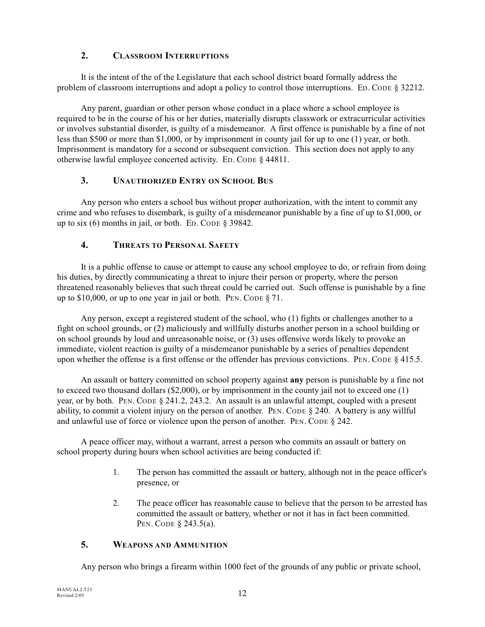# **2. CLASSROOM INTERRUPTIONS**

It is the intent of the of the Legislature that each school district board formally address the problem of classroom interruptions and adopt a policy to control those interruptions. ED. CODE § 32212.

Any parent, guardian or other person whose conduct in a place where a school employee is required to be in the course of his or her duties, materially disrupts classwork or extracurricular activities or involves substantial disorder, is guilty of a misdemeanor. A first offence is punishable by a fine of not less than \$500 or more than \$1,000, or by imprisonment in county jail for up to one (1) year, or both. Imprisonment is mandatory for a second or subsequent conviction. This section does not apply to any otherwise lawful employee concerted activity. ED. CODE § 44811.

## **3. UNAUTHORIZED ENTRY ON SCHOOL BUS**

Any person who enters a school bus without proper authorization, with the intent to commit any crime and who refuses to disembark, is guilty of a misdemeanor punishable by a fine of up to \$1,000, or up to six  $(6)$  months in jail, or both. ED. CODE  $\S$  39842.

# **4. THREATS TO PERSONAL SAFETY**

It is a public offense to cause or attempt to cause any school employee to do, or refrain from doing his duties, by directly communicating a threat to injure their person or property, where the person threatened reasonably believes that such threat could be carried out. Such offense is punishable by a fine up to  $$10,000$ , or up to one year in jail or both. PEN. CODE  $$71$ .

Any person, except a registered student of the school, who (1) fights or challenges another to a fight on school grounds, or (2) maliciously and willfully disturbs another person in a school building or on school grounds by loud and unreasonable noise, or (3) uses offensive words likely to provoke an immediate, violent reaction is guilty of a misdemeanor punishable by a series of penalties dependent upon whether the offense is a first offense or the offender has previous convictions. PEN. CODE  $\S$  415.5.

An assault or battery committed on school property against **any** person is punishable by a fine not to exceed two thousand dollars (\$2,000), or by imprisonment in the county jail not to exceed one (1) year, or by both. PEN. CODE § 241.2, 243.2. An assault is an unlawful attempt, coupled with a present ability, to commit a violent injury on the person of another. PEN. CODE § 240. A battery is any willful and unlawful use of force or violence upon the person of another. PEN. CODE § 242.

A peace officer may, without a warrant, arrest a person who commits an assault or battery on school property during hours when school activities are being conducted if:

- 1. The person has committed the assault or battery, although not in the peace officer's presence, or
- 2. The peace officer has reasonable cause to believe that the person to be arrested has committed the assault or battery, whether or not it has in fact been committed. PEN. CODE § 243.5(a).

#### **5. WEAPONS AND AMMUNITION**

Any person who brings a firearm within 1000 feet of the grounds of any public or private school,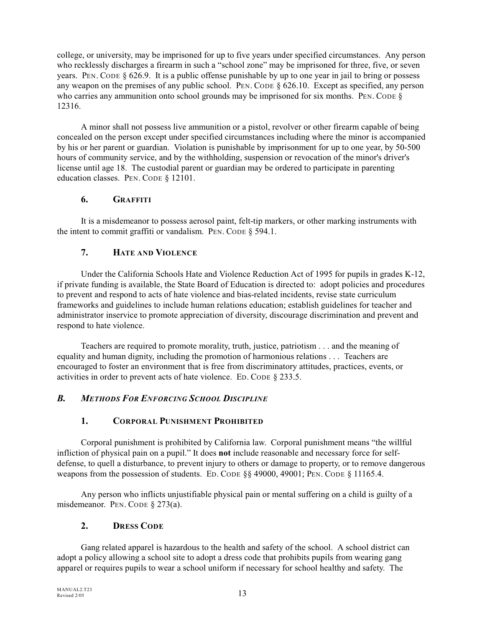college, or university, may be imprisoned for up to five years under specified circumstances. Any person who recklessly discharges a firearm in such a "school zone" may be imprisoned for three, five, or seven years. PEN. CODE § 626.9. It is a public offense punishable by up to one year in jail to bring or possess any weapon on the premises of any public school. PEN. CODE  $\S$  626.10. Except as specified, any person who carries any ammunition onto school grounds may be imprisoned for six months. PEN. CODE § 12316.

A minor shall not possess live ammunition or a pistol, revolver or other firearm capable of being concealed on the person except under specified circumstances including where the minor is accompanied by his or her parent or guardian. Violation is punishable by imprisonment for up to one year, by 50-500 hours of community service, and by the withholding, suspension or revocation of the minor's driver's license until age 18. The custodial parent or guardian may be ordered to participate in parenting education classes. PEN. CODE § 12101.

## **6. GRAFFITI**

It is a misdemeanor to possess aerosol paint, felt-tip markers, or other marking instruments with the intent to commit graffiti or vandalism. PEN. CODE § 594.1.

# **7. HATE AND VIOLENCE**

Under the California Schools Hate and Violence Reduction Act of 1995 for pupils in grades K-12, if private funding is available, the State Board of Education is directed to: adopt policies and procedures to prevent and respond to acts of hate violence and bias-related incidents, revise state curriculum frameworks and guidelines to include human relations education; establish guidelines for teacher and administrator inservice to promote appreciation of diversity, discourage discrimination and prevent and respond to hate violence.

Teachers are required to promote morality, truth, justice, patriotism . . . and the meaning of equality and human dignity, including the promotion of harmonious relations . . . Teachers are encouraged to foster an environment that is free from discriminatory attitudes, practices, events, or activities in order to prevent acts of hate violence. ED. CODE § 233.5.

# *B. METHODS FOR ENFORCING SCHOOL DISCIPLINE*

# **1. CORPORAL PUNISHMENT PROHIBITED**

Corporal punishment is prohibited by California law. Corporal punishment means "the willful infliction of physical pain on a pupil." It does **not** include reasonable and necessary force for selfdefense, to quell a disturbance, to prevent injury to others or damage to property, or to remove dangerous weapons from the possession of students. ED. CODE §§ 49000, 49001; PEN. CODE § 11165.4.

Any person who inflicts unjustifiable physical pain or mental suffering on a child is guilty of a misdemeanor. PEN. CODE § 273(a).

# **2. DRESS CODE**

Gang related apparel is hazardous to the health and safety of the school. A school district can adopt a policy allowing a school site to adopt a dress code that prohibits pupils from wearing gang apparel or requires pupils to wear a school uniform if necessary for school healthy and safety. The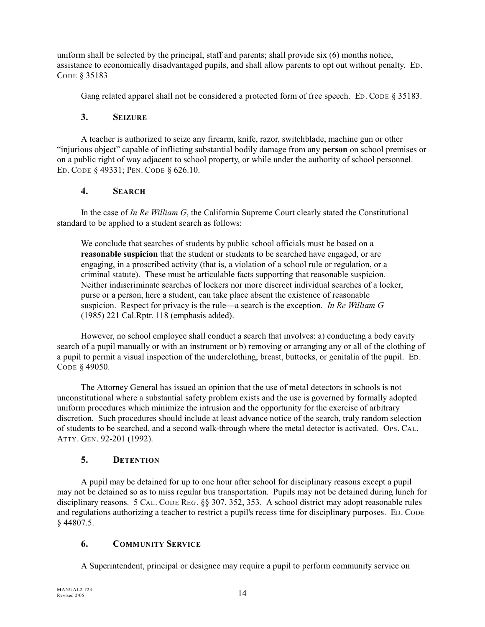uniform shall be selected by the principal, staff and parents; shall provide six (6) months notice, assistance to economically disadvantaged pupils, and shall allow parents to opt out without penalty. ED. CODE § 35183

Gang related apparel shall not be considered a protected form of free speech. ED. CODE § 35183.

## **3. SEIZURE**

A teacher is authorized to seize any firearm, knife, razor, switchblade, machine gun or other "injurious object" capable of inflicting substantial bodily damage from any **person** on school premises or on a public right of way adjacent to school property, or while under the authority of school personnel. ED. CODE § 49331; PEN. CODE § 626.10.

# **4. SEARCH**

In the case of *In Re William G*, the California Supreme Court clearly stated the Constitutional standard to be applied to a student search as follows:

We conclude that searches of students by public school officials must be based on a **reasonable suspicion** that the student or students to be searched have engaged, or are engaging, in a proscribed activity (that is, a violation of a school rule or regulation, or a criminal statute). These must be articulable facts supporting that reasonable suspicion. Neither indiscriminate searches of lockers nor more discreet individual searches of a locker, purse or a person, here a student, can take place absent the existence of reasonable suspicion. Respect for privacy is the rule—a search is the exception. *In Re William G* (1985) 221 Cal.Rptr. 118 (emphasis added).

However, no school employee shall conduct a search that involves: a) conducting a body cavity search of a pupil manually or with an instrument or b) removing or arranging any or all of the clothing of a pupil to permit a visual inspection of the underclothing, breast, buttocks, or genitalia of the pupil. ED. CODE § 49050.

The Attorney General has issued an opinion that the use of metal detectors in schools is not unconstitutional where a substantial safety problem exists and the use is governed by formally adopted uniform procedures which minimize the intrusion and the opportunity for the exercise of arbitrary discretion. Such procedures should include at least advance notice of the search, truly random selection of students to be searched, and a second walk-through where the metal detector is activated. OPS. CAL. ATTY. GEN. 92-201 (1992).

# **5. DETENTION**

A pupil may be detained for up to one hour after school for disciplinary reasons except a pupil may not be detained so as to miss regular bus transportation. Pupils may not be detained during lunch for disciplinary reasons. 5 CAL. CODE REG. §§ 307, 352, 353. A school district may adopt reasonable rules and regulations authorizing a teacher to restrict a pupil's recess time for disciplinary purposes. ED. CODE § 44807.5.

# **6. COMMUNITY SERVICE**

A Superintendent, principal or designee may require a pupil to perform community service on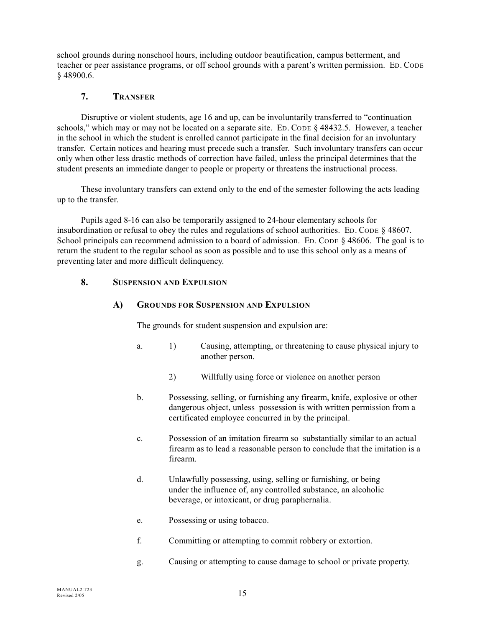school grounds during nonschool hours, including outdoor beautification, campus betterment, and teacher or peer assistance programs, or off school grounds with a parent's written permission. ED. CODE § 48900.6.

#### **7. TRANSFER**

Disruptive or violent students, age 16 and up, can be involuntarily transferred to "continuation schools," which may or may not be located on a separate site. ED. CODE § 48432.5. However, a teacher in the school in which the student is enrolled cannot participate in the final decision for an involuntary transfer. Certain notices and hearing must precede such a transfer. Such involuntary transfers can occur only when other less drastic methods of correction have failed, unless the principal determines that the student presents an immediate danger to people or property or threatens the instructional process.

These involuntary transfers can extend only to the end of the semester following the acts leading up to the transfer.

Pupils aged 8-16 can also be temporarily assigned to 24-hour elementary schools for insubordination or refusal to obey the rules and regulations of school authorities. ED. CODE § 48607. School principals can recommend admission to a board of admission. ED, CODE § 48606. The goal is to return the student to the regular school as soon as possible and to use this school only as a means of preventing later and more difficult delinquency.

#### **8. SUSPENSION AND EXPULSION**

#### **A) GROUNDS FOR SUSPENSION AND EXPULSION**

The grounds for student suspension and expulsion are:

- a. 1) Causing, attempting, or threatening to cause physical injury to another person.
	- 2) Willfully using force or violence on another person
- b. Possessing, selling, or furnishing any firearm, knife, explosive or other dangerous object, unless possession is with written permission from a certificated employee concurred in by the principal.
- c. Possession of an imitation firearm so substantially similar to an actual firearm as to lead a reasonable person to conclude that the imitation is a firearm.
- d. Unlawfully possessing, using, selling or furnishing, or being under the influence of, any controlled substance, an alcoholic beverage, or intoxicant, or drug paraphernalia.
- e. Possessing or using tobacco.
- f. Committing or attempting to commit robbery or extortion.
- g. Causing or attempting to cause damage to school or private property.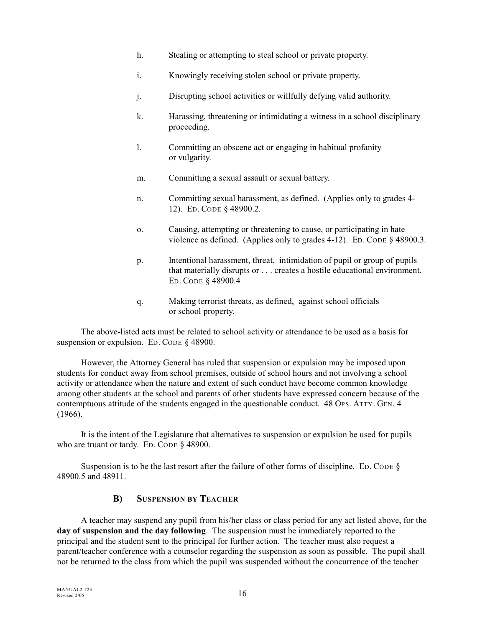- h. Stealing or attempting to steal school or private property.
- i. Knowingly receiving stolen school or private property.
- j. Disrupting school activities or willfully defying valid authority.
- k. Harassing, threatening or intimidating a witness in a school disciplinary proceeding.
- l. Committing an obscene act or engaging in habitual profanity or vulgarity.
- m. Committing a sexual assault or sexual battery.
- n. Committing sexual harassment, as defined. (Applies only to grades 4- 12). ED. CODE § 48900.2.
- o. Causing, attempting or threatening to cause, or participating in hate violence as defined. (Applies only to grades 4-12). ED. CODE § 48900.3.
- p. Intentional harassment, threat, intimidation of pupil or group of pupils that materially disrupts or . . . creates a hostile educational environment. ED. CODE § 48900.4
- q. Making terrorist threats, as defined, against school officials or school property.

The above-listed acts must be related to school activity or attendance to be used as a basis for suspension or expulsion. ED. CODE § 48900.

However, the Attorney General has ruled that suspension or expulsion may be imposed upon students for conduct away from school premises, outside of school hours and not involving a school activity or attendance when the nature and extent of such conduct have become common knowledge among other students at the school and parents of other students have expressed concern because of the contemptuous attitude of the students engaged in the questionable conduct. 48 OPS. ATTY. GEN. 4 (1966).

It is the intent of the Legislature that alternatives to suspension or expulsion be used for pupils who are truant or tardy. ED. CODE § 48900.

Suspension is to be the last resort after the failure of other forms of discipline. ED. CODE  $\delta$ 48900.5 and 48911.

#### **B) SUSPENSION BY TEACHER**

A teacher may suspend any pupil from his/her class or class period for any act listed above, for the **day of suspension and the day following**. The suspension must be immediately reported to the principal and the student sent to the principal for further action. The teacher must also request a parent/teacher conference with a counselor regarding the suspension as soon as possible. The pupil shall not be returned to the class from which the pupil was suspended without the concurrence of the teacher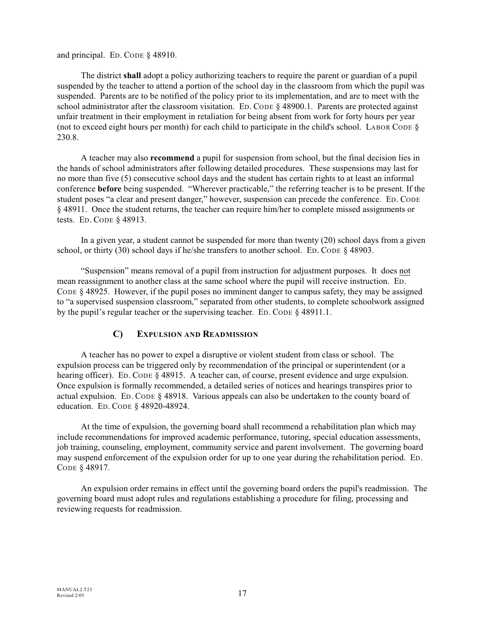and principal. ED. CODE § 48910.

The district **shall** adopt a policy authorizing teachers to require the parent or guardian of a pupil suspended by the teacher to attend a portion of the school day in the classroom from which the pupil was suspended. Parents are to be notified of the policy prior to its implementation, and are to meet with the school administrator after the classroom visitation. ED. CODE  $\S$  48900.1. Parents are protected against unfair treatment in their employment in retaliation for being absent from work for forty hours per year (not to exceed eight hours per month) for each child to participate in the child's school. LABOR CODE  $\S$ 230.8.

A teacher may also **recommend** a pupil for suspension from school, but the final decision lies in the hands of school administrators after following detailed procedures. These suspensions may last for no more than five (5) consecutive school days and the student has certain rights to at least an informal conference **before** being suspended. "Wherever practicable," the referring teacher is to be present. If the student poses "a clear and present danger," however, suspension can precede the conference. ED. CODE § 48911. Once the student returns, the teacher can require him/her to complete missed assignments or tests. ED. CODE § 48913.

In a given year, a student cannot be suspended for more than twenty (20) school days from a given school, or thirty (30) school days if he/she transfers to another school. ED. CODE  $\S$  48903.

"Suspension" means removal of a pupil from instruction for adjustment purposes. It does not mean reassignment to another class at the same school where the pupil will receive instruction. ED. CODE § 48925. However, if the pupil poses no imminent danger to campus safety, they may be assigned to "a supervised suspension classroom," separated from other students, to complete schoolwork assigned by the pupil's regular teacher or the supervising teacher. ED. CODE § 48911.1.

#### **C) EXPULSION AND READMISSION**

A teacher has no power to expel a disruptive or violent student from class or school. The expulsion process can be triggered only by recommendation of the principal or superintendent (or a hearing officer). ED. CODE § 48915. A teacher can, of course, present evidence and urge expulsion. Once expulsion is formally recommended, a detailed series of notices and hearings transpires prior to actual expulsion. ED. CODE § 48918. Various appeals can also be undertaken to the county board of education. ED. CODE § 48920-48924.

At the time of expulsion, the governing board shall recommend a rehabilitation plan which may include recommendations for improved academic performance, tutoring, special education assessments, job training, counseling, employment, community service and parent involvement. The governing board may suspend enforcement of the expulsion order for up to one year during the rehabilitation period. ED. CODE § 48917.

An expulsion order remains in effect until the governing board orders the pupil's readmission. The governing board must adopt rules and regulations establishing a procedure for filing, processing and reviewing requests for readmission.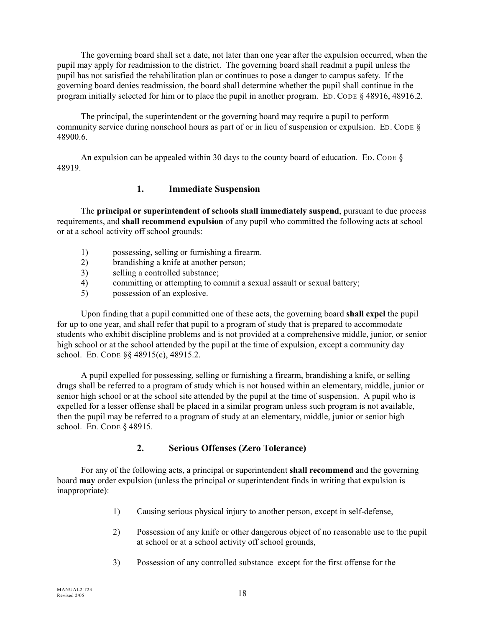The governing board shall set a date, not later than one year after the expulsion occurred, when the pupil may apply for readmission to the district. The governing board shall readmit a pupil unless the pupil has not satisfied the rehabilitation plan or continues to pose a danger to campus safety. If the governing board denies readmission, the board shall determine whether the pupil shall continue in the program initially selected for him or to place the pupil in another program. ED. CODE § 48916, 48916.2.

The principal, the superintendent or the governing board may require a pupil to perform community service during nonschool hours as part of or in lieu of suspension or expulsion. ED. CODE § 48900.6.

An expulsion can be appealed within 30 days to the county board of education. ED. CODE  $\S$ 48919.

#### **1. Immediate Suspension**

The **principal or superintendent of schools shall immediately suspend**, pursuant to due process requirements, and **shall recommend expulsion** of any pupil who committed the following acts at school or at a school activity off school grounds:

- 1) possessing, selling or furnishing a firearm.
- 2) brandishing a knife at another person;
- 3) selling a controlled substance;
- 4) committing or attempting to commit a sexual assault or sexual battery;
- 5) possession of an explosive.

Upon finding that a pupil committed one of these acts, the governing board **shall expel** the pupil for up to one year, and shall refer that pupil to a program of study that is prepared to accommodate students who exhibit discipline problems and is not provided at a comprehensive middle, junior, or senior high school or at the school attended by the pupil at the time of expulsion, except a community day school. ED. CODE §§ 48915(c), 48915.2.

A pupil expelled for possessing, selling or furnishing a firearm, brandishing a knife, or selling drugs shall be referred to a program of study which is not housed within an elementary, middle, junior or senior high school or at the school site attended by the pupil at the time of suspension. A pupil who is expelled for a lesser offense shall be placed in a similar program unless such program is not available, then the pupil may be referred to a program of study at an elementary, middle, junior or senior high school. ED. CODE § 48915.

#### **2. Serious Offenses (Zero Tolerance)**

For any of the following acts, a principal or superintendent **shall recommend** and the governing board **may** order expulsion (unless the principal or superintendent finds in writing that expulsion is inappropriate):

- 1) Causing serious physical injury to another person, except in self-defense,
- 2) Possession of any knife or other dangerous object of no reasonable use to the pupil at school or at a school activity off school grounds,
- 3) Possession of any controlled substance except for the first offense for the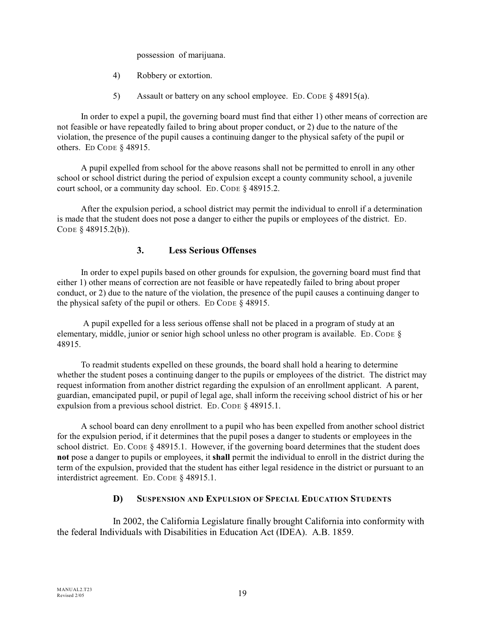possession of marijuana.

- 4) Robbery or extortion.
- 5) Assault or battery on any school employee. ED. CODE § 48915(a).

In order to expel a pupil, the governing board must find that either 1) other means of correction are not feasible or have repeatedly failed to bring about proper conduct, or 2) due to the nature of the violation, the presence of the pupil causes a continuing danger to the physical safety of the pupil or others. ED CODE § 48915.

A pupil expelled from school for the above reasons shall not be permitted to enroll in any other school or school district during the period of expulsion except a county community school, a juvenile court school, or a community day school. ED. CODE § 48915.2.

After the expulsion period, a school district may permit the individual to enroll if a determination is made that the student does not pose a danger to either the pupils or employees of the district. ED. CODE § 48915.2(b)).

## **3. Less Serious Offenses**

In order to expel pupils based on other grounds for expulsion, the governing board must find that either 1) other means of correction are not feasible or have repeatedly failed to bring about proper conduct, or 2) due to the nature of the violation, the presence of the pupil causes a continuing danger to the physical safety of the pupil or others. ED CODE § 48915.

 A pupil expelled for a less serious offense shall not be placed in a program of study at an elementary, middle, junior or senior high school unless no other program is available. ED. CODE § 48915.

To readmit students expelled on these grounds, the board shall hold a hearing to determine whether the student poses a continuing danger to the pupils or employees of the district. The district may request information from another district regarding the expulsion of an enrollment applicant. A parent, guardian, emancipated pupil, or pupil of legal age, shall inform the receiving school district of his or her expulsion from a previous school district. ED. CODE § 48915.1.

A school board can deny enrollment to a pupil who has been expelled from another school district for the expulsion period, if it determines that the pupil poses a danger to students or employees in the school district. ED. CODE  $\S$  48915.1. However, if the governing board determines that the student does **not** pose a danger to pupils or employees, it **shall** permit the individual to enroll in the district during the term of the expulsion, provided that the student has either legal residence in the district or pursuant to an interdistrict agreement. ED. CODE § 48915.1.

#### **D) SUSPENSION AND EXPULSION OF SPECIAL EDUCATION STUDENTS**

In 2002, the California Legislature finally brought California into conformity with the federal Individuals with Disabilities in Education Act (IDEA). A.B. 1859.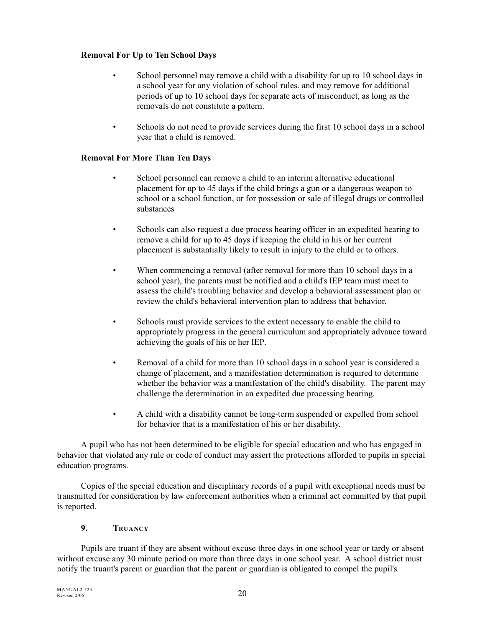#### **Removal For Up to Ten School Days**

- School personnel may remove a child with a disability for up to 10 school days in a school year for any violation of school rules. and may remove for additional periods of up to 10 school days for separate acts of misconduct, as long as the removals do not constitute a pattern.
- Schools do not need to provide services during the first 10 school days in a school year that a child is removed.

#### **Removal For More Than Ten Days**

- School personnel can remove a child to an interim alternative educational placement for up to 45 days if the child brings a gun or a dangerous weapon to school or a school function, or for possession or sale of illegal drugs or controlled substances
- Schools can also request a due process hearing officer in an expedited hearing to remove a child for up to 45 days if keeping the child in his or her current placement is substantially likely to result in injury to the child or to others.
- When commencing a removal (after removal for more than 10 school days in a school year), the parents must be notified and a child's IEP team must meet to assess the child's troubling behavior and develop a behavioral assessment plan or review the child's behavioral intervention plan to address that behavior.
- Schools must provide services to the extent necessary to enable the child to appropriately progress in the general curriculum and appropriately advance toward achieving the goals of his or her IEP.
- Removal of a child for more than 10 school days in a school year is considered a change of placement, and a manifestation determination is required to determine whether the behavior was a manifestation of the child's disability. The parent may challenge the determination in an expedited due processing hearing.
- A child with a disability cannot be long-term suspended or expelled from school for behavior that is a manifestation of his or her disability.

A pupil who has not been determined to be eligible for special education and who has engaged in behavior that violated any rule or code of conduct may assert the protections afforded to pupils in special education programs.

Copies of the special education and disciplinary records of a pupil with exceptional needs must be transmitted for consideration by law enforcement authorities when a criminal act committed by that pupil is reported.

#### **9. TRUANCY**

Pupils are truant if they are absent without excuse three days in one school year or tardy or absent without excuse any 30 minute period on more than three days in one school year. A school district must notify the truant's parent or guardian that the parent or guardian is obligated to compel the pupil's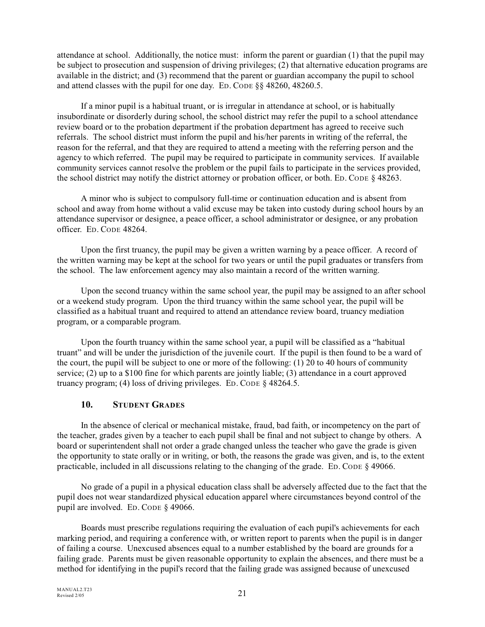attendance at school. Additionally, the notice must: inform the parent or guardian (1) that the pupil may be subject to prosecution and suspension of driving privileges; (2) that alternative education programs are available in the district; and (3) recommend that the parent or guardian accompany the pupil to school and attend classes with the pupil for one day. ED. CODE §§ 48260, 48260.5.

If a minor pupil is a habitual truant, or is irregular in attendance at school, or is habitually insubordinate or disorderly during school, the school district may refer the pupil to a school attendance review board or to the probation department if the probation department has agreed to receive such referrals. The school district must inform the pupil and his/her parents in writing of the referral, the reason for the referral, and that they are required to attend a meeting with the referring person and the agency to which referred. The pupil may be required to participate in community services. If available community services cannot resolve the problem or the pupil fails to participate in the services provided, the school district may notify the district attorney or probation officer, or both. ED. CODE § 48263.

A minor who is subject to compulsory full-time or continuation education and is absent from school and away from home without a valid excuse may be taken into custody during school hours by an attendance supervisor or designee, a peace officer, a school administrator or designee, or any probation officer. ED. CODE 48264.

Upon the first truancy, the pupil may be given a written warning by a peace officer. A record of the written warning may be kept at the school for two years or until the pupil graduates or transfers from the school. The law enforcement agency may also maintain a record of the written warning.

Upon the second truancy within the same school year, the pupil may be assigned to an after school or a weekend study program. Upon the third truancy within the same school year, the pupil will be classified as a habitual truant and required to attend an attendance review board, truancy mediation program, or a comparable program.

Upon the fourth truancy within the same school year, a pupil will be classified as a "habitual truant" and will be under the jurisdiction of the juvenile court. If the pupil is then found to be a ward of the court, the pupil will be subject to one or more of the following: (1) 20 to 40 hours of community service; (2) up to a \$100 fine for which parents are jointly liable; (3) attendance in a court approved truancy program; (4) loss of driving privileges. ED. CODE § 48264.5.

#### **10. STUDENT GRADES**

In the absence of clerical or mechanical mistake, fraud, bad faith, or incompetency on the part of the teacher, grades given by a teacher to each pupil shall be final and not subject to change by others. A board or superintendent shall not order a grade changed unless the teacher who gave the grade is given the opportunity to state orally or in writing, or both, the reasons the grade was given, and is, to the extent practicable, included in all discussions relating to the changing of the grade. ED. CODE § 49066.

No grade of a pupil in a physical education class shall be adversely affected due to the fact that the pupil does not wear standardized physical education apparel where circumstances beyond control of the pupil are involved. ED. CODE § 49066.

Boards must prescribe regulations requiring the evaluation of each pupil's achievements for each marking period, and requiring a conference with, or written report to parents when the pupil is in danger of failing a course. Unexcused absences equal to a number established by the board are grounds for a failing grade. Parents must be given reasonable opportunity to explain the absences, and there must be a method for identifying in the pupil's record that the failing grade was assigned because of unexcused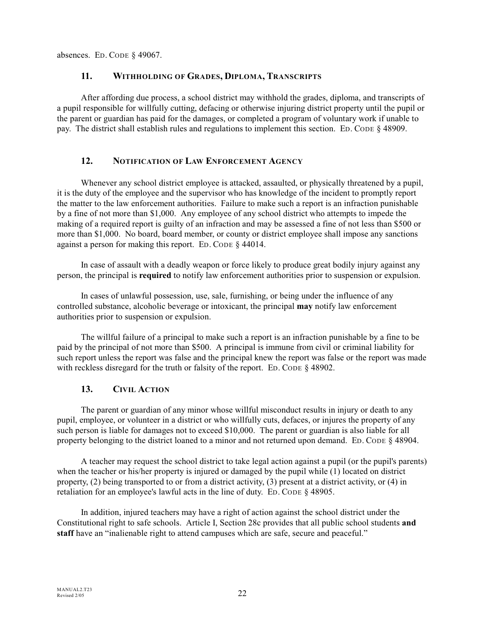absences. ED. CODE § 49067.

#### **11. WITHHOLDING OF GRADES, DIPLOMA, TRANSCRIPTS**

After affording due process, a school district may withhold the grades, diploma, and transcripts of a pupil responsible for willfully cutting, defacing or otherwise injuring district property until the pupil or the parent or guardian has paid for the damages, or completed a program of voluntary work if unable to pay. The district shall establish rules and regulations to implement this section. ED. CODE § 48909.

#### **12. NOTIFICATION OF LAW ENFORCEMENT AGENCY**

Whenever any school district employee is attacked, assaulted, or physically threatened by a pupil, it is the duty of the employee and the supervisor who has knowledge of the incident to promptly report the matter to the law enforcement authorities. Failure to make such a report is an infraction punishable by a fine of not more than \$1,000. Any employee of any school district who attempts to impede the making of a required report is guilty of an infraction and may be assessed a fine of not less than \$500 or more than \$1,000. No board, board member, or county or district employee shall impose any sanctions against a person for making this report. ED. CODE § 44014.

In case of assault with a deadly weapon or force likely to produce great bodily injury against any person, the principal is **required** to notify law enforcement authorities prior to suspension or expulsion.

In cases of unlawful possession, use, sale, furnishing, or being under the influence of any controlled substance, alcoholic beverage or intoxicant, the principal **may** notify law enforcement authorities prior to suspension or expulsion.

The willful failure of a principal to make such a report is an infraction punishable by a fine to be paid by the principal of not more than \$500. A principal is immune from civil or criminal liability for such report unless the report was false and the principal knew the report was false or the report was made with reckless disregard for the truth or falsity of the report. ED. CODE  $\&$  48902.

#### **13. CIVIL ACTION**

The parent or guardian of any minor whose willful misconduct results in injury or death to any pupil, employee, or volunteer in a district or who willfully cuts, defaces, or injures the property of any such person is liable for damages not to exceed \$10,000. The parent or guardian is also liable for all property belonging to the district loaned to a minor and not returned upon demand. ED. CODE § 48904.

A teacher may request the school district to take legal action against a pupil (or the pupil's parents) when the teacher or his/her property is injured or damaged by the pupil while (1) located on district property, (2) being transported to or from a district activity, (3) present at a district activity, or (4) in retaliation for an employee's lawful acts in the line of duty. ED. CODE § 48905.

In addition, injured teachers may have a right of action against the school district under the Constitutional right to safe schools. Article I, Section 28c provides that all public school students **and staff** have an "inalienable right to attend campuses which are safe, secure and peaceful."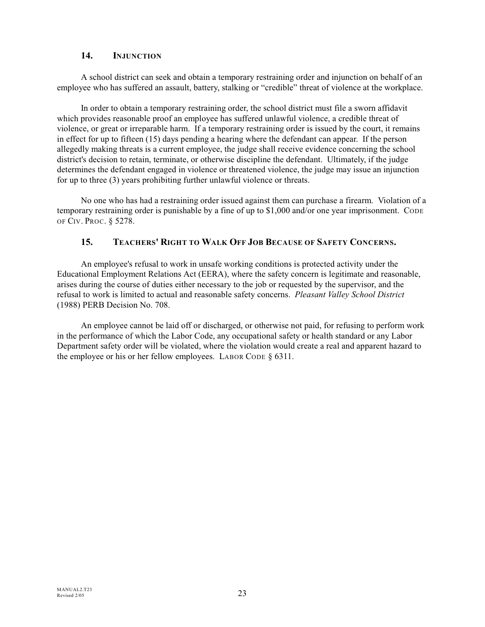#### **14. INJUNCTION**

A school district can seek and obtain a temporary restraining order and injunction on behalf of an employee who has suffered an assault, battery, stalking or "credible" threat of violence at the workplace.

In order to obtain a temporary restraining order, the school district must file a sworn affidavit which provides reasonable proof an employee has suffered unlawful violence, a credible threat of violence, or great or irreparable harm. If a temporary restraining order is issued by the court, it remains in effect for up to fifteen (15) days pending a hearing where the defendant can appear. If the person allegedly making threats is a current employee, the judge shall receive evidence concerning the school district's decision to retain, terminate, or otherwise discipline the defendant. Ultimately, if the judge determines the defendant engaged in violence or threatened violence, the judge may issue an injunction for up to three (3) years prohibiting further unlawful violence or threats.

No one who has had a restraining order issued against them can purchase a firearm. Violation of a temporary restraining order is punishable by a fine of up to \$1,000 and/or one year imprisonment. CODE OF CIV. PROC. § 5278.

#### **15. TEACHERS' RIGHT TO WALK OFF JOB BECAUSE OF SAFETY CONCERNS.**

An employee's refusal to work in unsafe working conditions is protected activity under the Educational Employment Relations Act (EERA), where the safety concern is legitimate and reasonable, arises during the course of duties either necessary to the job or requested by the supervisor, and the refusal to work is limited to actual and reasonable safety concerns. *Pleasant Valley School District* (1988) PERB Decision No. 708.

An employee cannot be laid off or discharged, or otherwise not paid, for refusing to perform work in the performance of which the Labor Code, any occupational safety or health standard or any Labor Department safety order will be violated, where the violation would create a real and apparent hazard to the employee or his or her fellow employees. LABOR CODE § 6311.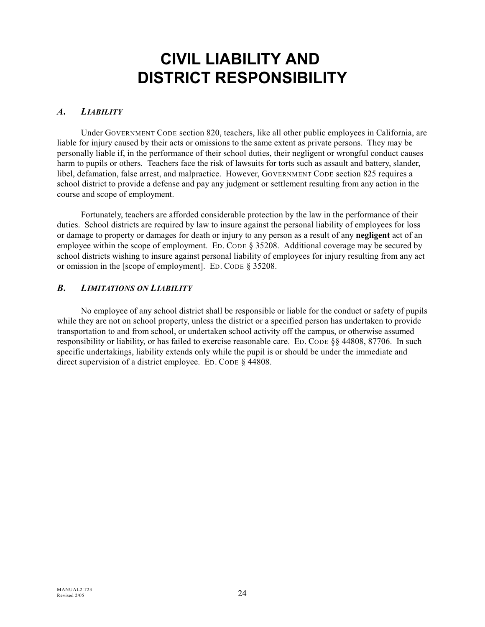# **CIVIL LIABILITY AND DISTRICT RESPONSIBILITY**

#### *A. LIABILITY*

Under GOVERNMENT CODE section 820, teachers, like all other public employees in California, are liable for injury caused by their acts or omissions to the same extent as private persons. They may be personally liable if, in the performance of their school duties, their negligent or wrongful conduct causes harm to pupils or others. Teachers face the risk of lawsuits for torts such as assault and battery, slander, libel, defamation, false arrest, and malpractice. However, GOVERNMENT CODE section 825 requires a school district to provide a defense and pay any judgment or settlement resulting from any action in the course and scope of employment.

Fortunately, teachers are afforded considerable protection by the law in the performance of their duties. School districts are required by law to insure against the personal liability of employees for loss or damage to property or damages for death or injury to any person as a result of any **negligent** act of an employee within the scope of employment. ED. CODE § 35208. Additional coverage may be secured by school districts wishing to insure against personal liability of employees for injury resulting from any act or omission in the [scope of employment]. ED. CODE § 35208.

#### *B. LIMITATIONS ON LIABILITY*

No employee of any school district shall be responsible or liable for the conduct or safety of pupils while they are not on school property, unless the district or a specified person has undertaken to provide transportation to and from school, or undertaken school activity off the campus, or otherwise assumed responsibility or liability, or has failed to exercise reasonable care. ED. CODE §§ 44808, 87706. In such specific undertakings, liability extends only while the pupil is or should be under the immediate and direct supervision of a district employee. ED. CODE § 44808.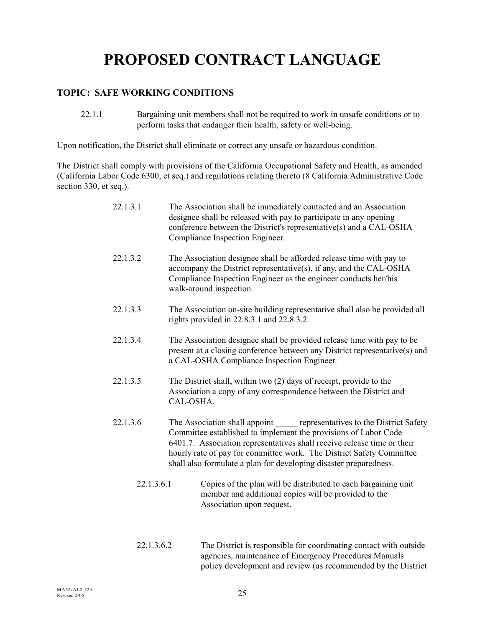# **PROPOSED CONTRACT LANGUAGE**

# **TOPIC: SAFE WORKING CONDITIONS**

22.1.1 Bargaining unit members shall not be required to work in unsafe conditions or to perform tasks that endanger their health, safety or well-being.

Upon notification, the District shall eliminate or correct any unsafe or hazardous condition.

The District shall comply with provisions of the California Occupational Safety and Health, as amended (California Labor Code 6300, et seq.) and regulations relating thereto (8 California Administrative Code section 330, et seq.).

| 22.1.3.1   | The Association shall be immediately contacted and an Association<br>designee shall be released with pay to participate in any opening<br>conference between the District's representative(s) and a CAL-OSHA<br>Compliance Inspection Engineer.                                                                                                                 |
|------------|-----------------------------------------------------------------------------------------------------------------------------------------------------------------------------------------------------------------------------------------------------------------------------------------------------------------------------------------------------------------|
| 22.1.3.2   | The Association designee shall be afforded release time with pay to<br>accompany the District representative(s), if any, and the CAL-OSHA<br>Compliance Inspection Engineer as the engineer conducts her/his<br>walk-around inspection.                                                                                                                         |
| 22.1.3.3   | The Association on-site building representative shall also be provided all<br>rights provided in 22.8.3.1 and 22.8.3.2.                                                                                                                                                                                                                                         |
| 22.1.3.4   | The Association designee shall be provided release time with pay to be<br>present at a closing conference between any District representative(s) and<br>a CAL-OSHA Compliance Inspection Engineer.                                                                                                                                                              |
| 22.1.3.5   | The District shall, within two (2) days of receipt, provide to the<br>Association a copy of any correspondence between the District and<br>CAL-OSHA.                                                                                                                                                                                                            |
| 22.1.3.6   | The Association shall appoint representatives to the District Safety<br>Committee established to implement the provisions of Labor Code<br>6401.7. Association representatives shall receive release time or their<br>hourly rate of pay for committee work. The District Safety Committee<br>shall also formulate a plan for developing disaster preparedness. |
| 22.1.3.6.1 | Copies of the plan will be distributed to each bargaining unit<br>member and additional copies will be provided to the<br>Association upon request.                                                                                                                                                                                                             |
| 22.1.3.6.2 | The District is responsible for coordinating contact with outside<br>agencies, maintenance of Emergency Procedures Manuals<br>policy development and review (as recommended by the District                                                                                                                                                                     |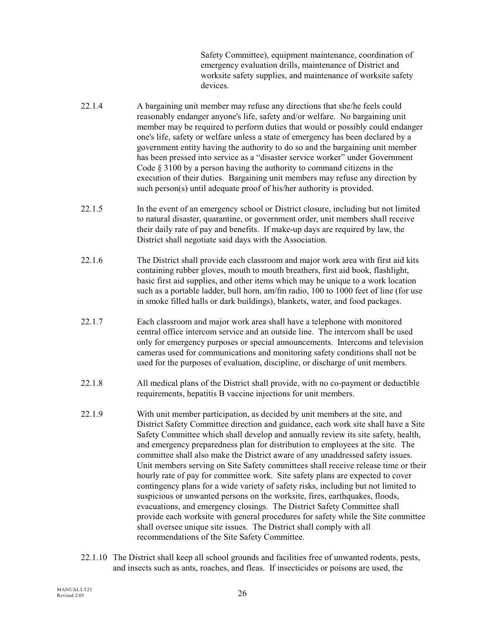Safety Committee), equipment maintenance, coordination of emergency evaluation drills, maintenance of District and worksite safety supplies, and maintenance of worksite safety devices.

- 22.1.4 A bargaining unit member may refuse any directions that she/he feels could reasonably endanger anyone's life, safety and/or welfare. No bargaining unit member may be required to perform duties that would or possibly could endanger one's life, safety or welfare unless a state of emergency has been declared by a government entity having the authority to do so and the bargaining unit member has been pressed into service as a "disaster service worker" under Government Code § 3100 by a person having the authority to command citizens in the execution of their duties. Bargaining unit members may refuse any direction by such person(s) until adequate proof of his/her authority is provided.
- 22.1.5 In the event of an emergency school or District closure, including but not limited to natural disaster, quarantine, or government order, unit members shall receive their daily rate of pay and benefits. If make-up days are required by law, the District shall negotiate said days with the Association.
- 22.1.6 The District shall provide each classroom and major work area with first aid kits containing rubber gloves, mouth to mouth breathers, first aid book, flashlight, basic first aid supplies, and other items which may be unique to a work location such as a portable ladder, bull horn, am/fm radio, 100 to 1000 feet of line (for use in smoke filled halls or dark buildings), blankets, water, and food packages.
- 22.1.7 Each classroom and major work area shall have a telephone with monitored central office intercom service and an outside line. The intercom shall be used only for emergency purposes or special announcements. Intercoms and television cameras used for communications and monitoring safety conditions shall not be used for the purposes of evaluation, discipline, or discharge of unit members.
- 22.1.8 All medical plans of the District shall provide, with no co-payment or deductible requirements, hepatitis B vaccine injections for unit members.
- 22.1.9 With unit member participation, as decided by unit members at the site, and District Safety Committee direction and guidance, each work site shall have a Site Safety Committee which shall develop and annually review its site safety, health, and emergency preparedness plan for distribution to employees at the site. The committee shall also make the District aware of any unaddressed safety issues. Unit members serving on Site Safety committees shall receive release time or their hourly rate of pay for committee work. Site safety plans are expected to cover contingency plans for a wide variety of safety risks, including but not limited to suspicious or unwanted persons on the worksite, fires, earthquakes, floods, evacuations, and emergency closings. The District Safety Committee shall provide each worksite with general procedures for safety while the Site committee shall oversee unique site issues. The District shall comply with all recommendations of the Site Safety Committee.
- 22.1.10 The District shall keep all school grounds and facilities free of unwanted rodents, pests, and insects such as ants, roaches, and fleas. If insecticides or poisons are used, the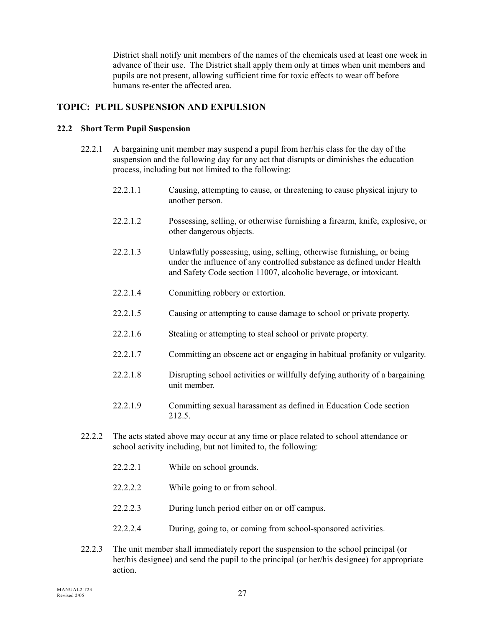District shall notify unit members of the names of the chemicals used at least one week in advance of their use. The District shall apply them only at times when unit members and pupils are not present, allowing sufficient time for toxic effects to wear off before humans re-enter the affected area.

# **TOPIC: PUPIL SUSPENSION AND EXPULSION**

#### **22.2 Short Term Pupil Suspension**

- 22.2.1 A bargaining unit member may suspend a pupil from her/his class for the day of the suspension and the following day for any act that disrupts or diminishes the education process, including but not limited to the following:
	- 22.2.1.1 Causing, attempting to cause, or threatening to cause physical injury to another person.
	- 22.2.1.2 Possessing, selling, or otherwise furnishing a firearm, knife, explosive, or other dangerous objects.
	- 22.2.1.3 Unlawfully possessing, using, selling, otherwise furnishing, or being under the influence of any controlled substance as defined under Health and Safety Code section 11007, alcoholic beverage, or intoxicant.
	- 22.2.1.4 Committing robbery or extortion.
	- 22.2.1.5 Causing or attempting to cause damage to school or private property.
	- 22.2.1.6 Stealing or attempting to steal school or private property.
	- 22.2.1.7 Committing an obscene act or engaging in habitual profanity or vulgarity.
	- 22.2.1.8 Disrupting school activities or willfully defying authority of a bargaining unit member.
	- 22.2.1.9 Committing sexual harassment as defined in Education Code section 212.5.
- 22.2.2 The acts stated above may occur at any time or place related to school attendance or school activity including, but not limited to, the following:
	- 22.2.2.1 While on school grounds.
	- 22.2.2.2 While going to or from school.
	- 22.2.2.3 During lunch period either on or off campus.
	- 22.2.2.4 During, going to, or coming from school-sponsored activities.
- 22.2.3 The unit member shall immediately report the suspension to the school principal (or her/his designee) and send the pupil to the principal (or her/his designee) for appropriate action.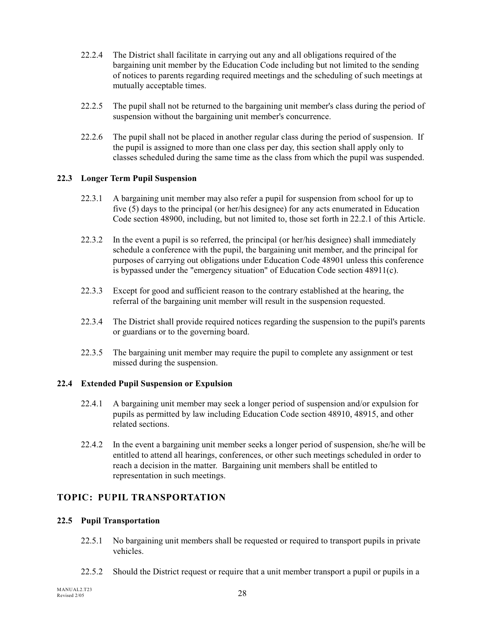- 22.2.4 The District shall facilitate in carrying out any and all obligations required of the bargaining unit member by the Education Code including but not limited to the sending of notices to parents regarding required meetings and the scheduling of such meetings at mutually acceptable times.
- 22.2.5 The pupil shall not be returned to the bargaining unit member's class during the period of suspension without the bargaining unit member's concurrence.
- 22.2.6 The pupil shall not be placed in another regular class during the period of suspension. If the pupil is assigned to more than one class per day, this section shall apply only to classes scheduled during the same time as the class from which the pupil was suspended.

#### **22.3 Longer Term Pupil Suspension**

- 22.3.1 A bargaining unit member may also refer a pupil for suspension from school for up to five (5) days to the principal (or her/his designee) for any acts enumerated in Education Code section 48900, including, but not limited to, those set forth in 22.2.1 of this Article.
- 22.3.2 In the event a pupil is so referred, the principal (or her/his designee) shall immediately schedule a conference with the pupil, the bargaining unit member, and the principal for purposes of carrying out obligations under Education Code 48901 unless this conference is bypassed under the "emergency situation" of Education Code section 48911(c).
- 22.3.3 Except for good and sufficient reason to the contrary established at the hearing, the referral of the bargaining unit member will result in the suspension requested.
- 22.3.4 The District shall provide required notices regarding the suspension to the pupil's parents or guardians or to the governing board.
- 22.3.5 The bargaining unit member may require the pupil to complete any assignment or test missed during the suspension.

#### **22.4 Extended Pupil Suspension or Expulsion**

- 22.4.1 A bargaining unit member may seek a longer period of suspension and/or expulsion for pupils as permitted by law including Education Code section 48910, 48915, and other related sections.
- 22.4.2 In the event a bargaining unit member seeks a longer period of suspension, she/he will be entitled to attend all hearings, conferences, or other such meetings scheduled in order to reach a decision in the matter. Bargaining unit members shall be entitled to representation in such meetings.

#### **TOPIC: PUPIL TRANSPORTATION**

#### **22.5 Pupil Transportation**

- 22.5.1 No bargaining unit members shall be requested or required to transport pupils in private vehicles.
- 22.5.2 Should the District request or require that a unit member transport a pupil or pupils in a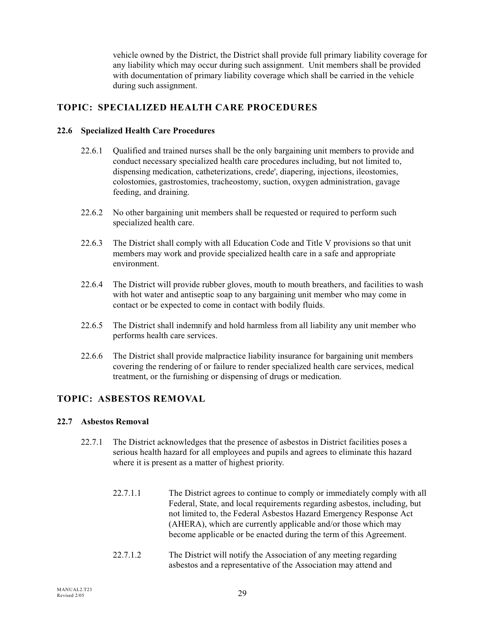vehicle owned by the District, the District shall provide full primary liability coverage for any liability which may occur during such assignment. Unit members shall be provided with documentation of primary liability coverage which shall be carried in the vehicle during such assignment.

# **TOPIC: SPECIALIZED HEALTH CARE PROCEDURES**

#### **22.6 Specialized Health Care Procedures**

- 22.6.1 Qualified and trained nurses shall be the only bargaining unit members to provide and conduct necessary specialized health care procedures including, but not limited to, dispensing medication, catheterizations, crede', diapering, injections, ileostomies, colostomies, gastrostomies, tracheostomy, suction, oxygen administration, gavage feeding, and draining.
- 22.6.2 No other bargaining unit members shall be requested or required to perform such specialized health care.
- 22.6.3 The District shall comply with all Education Code and Title V provisions so that unit members may work and provide specialized health care in a safe and appropriate environment.
- 22.6.4 The District will provide rubber gloves, mouth to mouth breathers, and facilities to wash with hot water and antiseptic soap to any bargaining unit member who may come in contact or be expected to come in contact with bodily fluids.
- 22.6.5 The District shall indemnify and hold harmless from all liability any unit member who performs health care services.
- 22.6.6 The District shall provide malpractice liability insurance for bargaining unit members covering the rendering of or failure to render specialized health care services, medical treatment, or the furnishing or dispensing of drugs or medication.

# **TOPIC: ASBESTOS REMOVAL**

#### **22.7 Asbestos Removal**

- 22.7.1 The District acknowledges that the presence of asbestos in District facilities poses a serious health hazard for all employees and pupils and agrees to eliminate this hazard where it is present as a matter of highest priority.
	- 22.7.1.1 The District agrees to continue to comply or immediately comply with all Federal, State, and local requirements regarding asbestos, including, but not limited to, the Federal Asbestos Hazard Emergency Response Act (AHERA), which are currently applicable and/or those which may become applicable or be enacted during the term of this Agreement.
	- 22.7.1.2 The District will notify the Association of any meeting regarding asbestos and a representative of the Association may attend and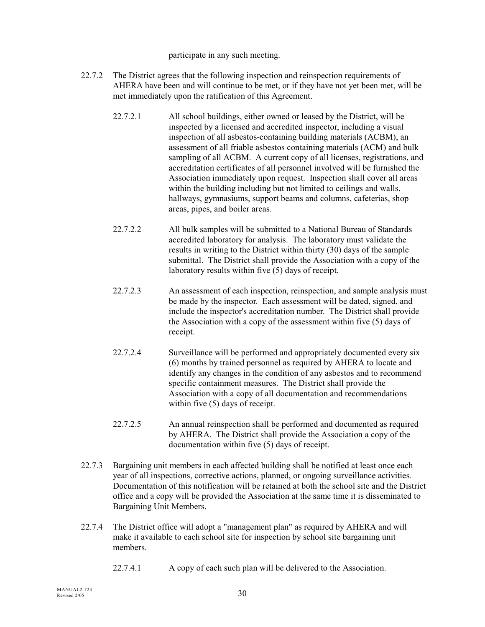participate in any such meeting.

- 22.7.2 The District agrees that the following inspection and reinspection requirements of AHERA have been and will continue to be met, or if they have not yet been met, will be met immediately upon the ratification of this Agreement.
	- 22.7.2.1 All school buildings, either owned or leased by the District, will be inspected by a licensed and accredited inspector, including a visual inspection of all asbestos-containing building materials (ACBM), an assessment of all friable asbestos containing materials (ACM) and bulk sampling of all ACBM. A current copy of all licenses, registrations, and accreditation certificates of all personnel involved will be furnished the Association immediately upon request. Inspection shall cover all areas within the building including but not limited to ceilings and walls. hallways, gymnasiums, support beams and columns, cafeterias, shop areas, pipes, and boiler areas.
	- 22.7.2.2 All bulk samples will be submitted to a National Bureau of Standards accredited laboratory for analysis. The laboratory must validate the results in writing to the District within thirty (30) days of the sample submittal. The District shall provide the Association with a copy of the laboratory results within five (5) days of receipt.
	- 22.7.2.3 An assessment of each inspection, reinspection, and sample analysis must be made by the inspector. Each assessment will be dated, signed, and include the inspector's accreditation number. The District shall provide the Association with a copy of the assessment within five (5) days of receipt.
	- 22.7.2.4 Surveillance will be performed and appropriately documented every six (6) months by trained personnel as required by AHERA to locate and identify any changes in the condition of any asbestos and to recommend specific containment measures. The District shall provide the Association with a copy of all documentation and recommendations within five (5) days of receipt.
	- 22.7.2.5 An annual reinspection shall be performed and documented as required by AHERA. The District shall provide the Association a copy of the documentation within five (5) days of receipt.
- 22.7.3 Bargaining unit members in each affected building shall be notified at least once each year of all inspections, corrective actions, planned, or ongoing surveillance activities. Documentation of this notification will be retained at both the school site and the District office and a copy will be provided the Association at the same time it is disseminated to Bargaining Unit Members.
- 22.7.4 The District office will adopt a "management plan" as required by AHERA and will make it available to each school site for inspection by school site bargaining unit members.
	- 22.7.4.1 A copy of each such plan will be delivered to the Association.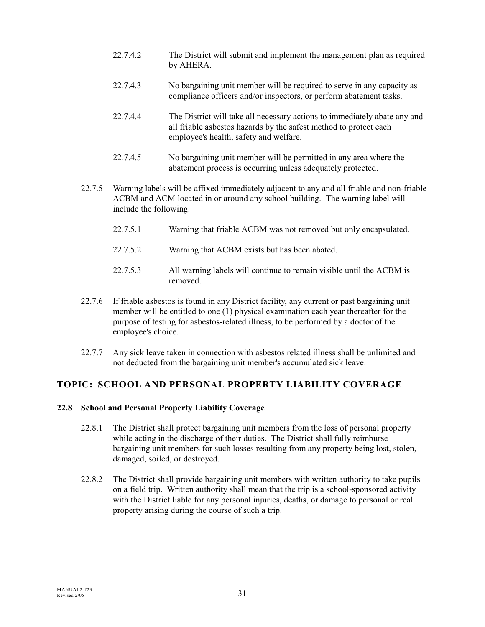- 22.7.4.2 The District will submit and implement the management plan as required by AHERA.
- 22.7.4.3 No bargaining unit member will be required to serve in any capacity as compliance officers and/or inspectors, or perform abatement tasks.
- 22.7.4.4 The District will take all necessary actions to immediately abate any and all friable asbestos hazards by the safest method to protect each employee's health, safety and welfare.
- 22.7.4.5 No bargaining unit member will be permitted in any area where the abatement process is occurring unless adequately protected.
- 22.7.5 Warning labels will be affixed immediately adjacent to any and all friable and non-friable ACBM and ACM located in or around any school building. The warning label will include the following:
	- 22.7.5.1 Warning that friable ACBM was not removed but only encapsulated.
	- 22.7.5.2 Warning that ACBM exists but has been abated.
	- 22.7.5.3 All warning labels will continue to remain visible until the ACBM is removed.
- 22.7.6 If friable asbestos is found in any District facility, any current or past bargaining unit member will be entitled to one (1) physical examination each year thereafter for the purpose of testing for asbestos-related illness, to be performed by a doctor of the employee's choice.
- 22.7.7 Any sick leave taken in connection with asbestos related illness shall be unlimited and not deducted from the bargaining unit member's accumulated sick leave.

# **TOPIC: SCHOOL AND PERSONAL PROPERTY LIABILITY COVERAGE**

#### **22.8 School and Personal Property Liability Coverage**

- 22.8.1 The District shall protect bargaining unit members from the loss of personal property while acting in the discharge of their duties. The District shall fully reimburse bargaining unit members for such losses resulting from any property being lost, stolen, damaged, soiled, or destroyed.
- 22.8.2 The District shall provide bargaining unit members with written authority to take pupils on a field trip. Written authority shall mean that the trip is a school-sponsored activity with the District liable for any personal injuries, deaths, or damage to personal or real property arising during the course of such a trip.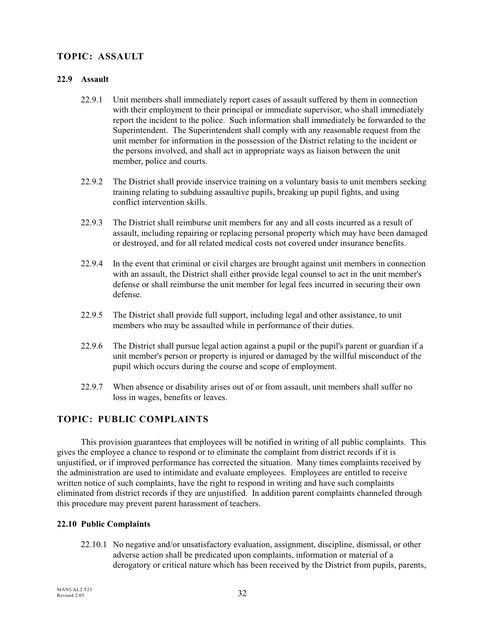# **TOPIC: ASSAULT**

#### **22.9 Assault**

- 22.9.1 Unit members shall immediately report cases of assault suffered by them in connection with their employment to their principal or immediate supervisor, who shall immediately report the incident to the police. Such information shall immediately be forwarded to the Superintendent. The Superintendent shall comply with any reasonable request from the unit member for information in the possession of the District relating to the incident or the persons involved, and shall act in appropriate ways as liaison between the unit member, police and courts.
- 22.9.2 The District shall provide inservice training on a voluntary basis to unit members seeking training relating to subduing assaultive pupils, breaking up pupil fights, and using conflict intervention skills.
- 22.9.3 The District shall reimburse unit members for any and all costs incurred as a result of assault, including repairing or replacing personal property which may have been damaged or destroyed, and for all related medical costs not covered under insurance benefits.
- 22.9.4 In the event that criminal or civil charges are brought against unit members in connection with an assault, the District shall either provide legal counsel to act in the unit member's defense or shall reimburse the unit member for legal fees incurred in securing their own defense.
- 22.9.5 The District shall provide full support, including legal and other assistance, to unit members who may be assaulted while in performance of their duties.
- 22.9.6 The District shall pursue legal action against a pupil or the pupil's parent or guardian if a unit member's person or property is injured or damaged by the willful misconduct of the pupil which occurs during the course and scope of employment.
- 22.9.7 When absence or disability arises out of or from assault, unit members shall suffer no loss in wages, benefits or leaves.

# **TOPIC: PUBLIC COMPLAINTS**

This provision guarantees that employees will be notified in writing of all public complaints. This gives the employee a chance to respond or to eliminate the complaint from district records if it is unjustified, or if improved performance has corrected the situation. Many times complaints received by the administration are used to intimidate and evaluate employees. Employees are entitled to receive written notice of such complaints, have the right to respond in writing and have such complaints eliminated from district records if they are unjustified. In addition parent complaints channeled through this procedure may prevent parent harassment of teachers.

#### **22.10 Public Complaints**

22.10.1 No negative and/or unsatisfactory evaluation, assignment, discipline, dismissal, or other adverse action shall be predicated upon complaints, information or material of a derogatory or critical nature which has been received by the District from pupils, parents,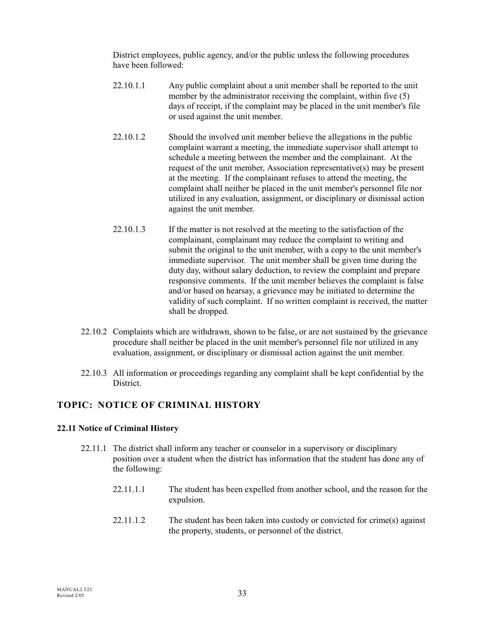District employees, public agency, and/or the public unless the following procedures have been followed:

- 22.10.1.1 Any public complaint about a unit member shall be reported to the unit member by the administrator receiving the complaint, within five (5) days of receipt, if the complaint may be placed in the unit member's file or used against the unit member.
- 22.10.1.2 Should the involved unit member believe the allegations in the public complaint warrant a meeting, the immediate supervisor shall attempt to schedule a meeting between the member and the complainant. At the request of the unit member, Association representative(s) may be present at the meeting. If the complainant refuses to attend the meeting, the complaint shall neither be placed in the unit member's personnel file nor utilized in any evaluation, assignment, or disciplinary or dismissal action against the unit member.
- 22.10.1.3 If the matter is not resolved at the meeting to the satisfaction of the complainant, complainant may reduce the complaint to writing and submit the original to the unit member, with a copy to the unit member's immediate supervisor. The unit member shall be given time during the duty day, without salary deduction, to review the complaint and prepare responsive comments. If the unit member believes the complaint is false and/or based on hearsay, a grievance may be initiated to determine the validity of such complaint. If no written complaint is received, the matter shall be dropped.
- 22.10.2 Complaints which are withdrawn, shown to be false, or are not sustained by the grievance procedure shall neither be placed in the unit member's personnel file nor utilized in any evaluation, assignment, or disciplinary or dismissal action against the unit member.
- 22.10.3 All information or proceedings regarding any complaint shall be kept confidential by the District.

# **TOPIC: NOTICE OF CRIMINAL HISTORY**

#### **22.11 Notice of Criminal History**

- 22.11.1 The district shall inform any teacher or counselor in a supervisory or disciplinary position over a student when the district has information that the student has done any of the following:
	- 22.11.1.1 The student has been expelled from another school, and the reason for the expulsion.
	- 22.11.1.2 The student has been taken into custody or convicted for crime(s) against the property, students, or personnel of the district.